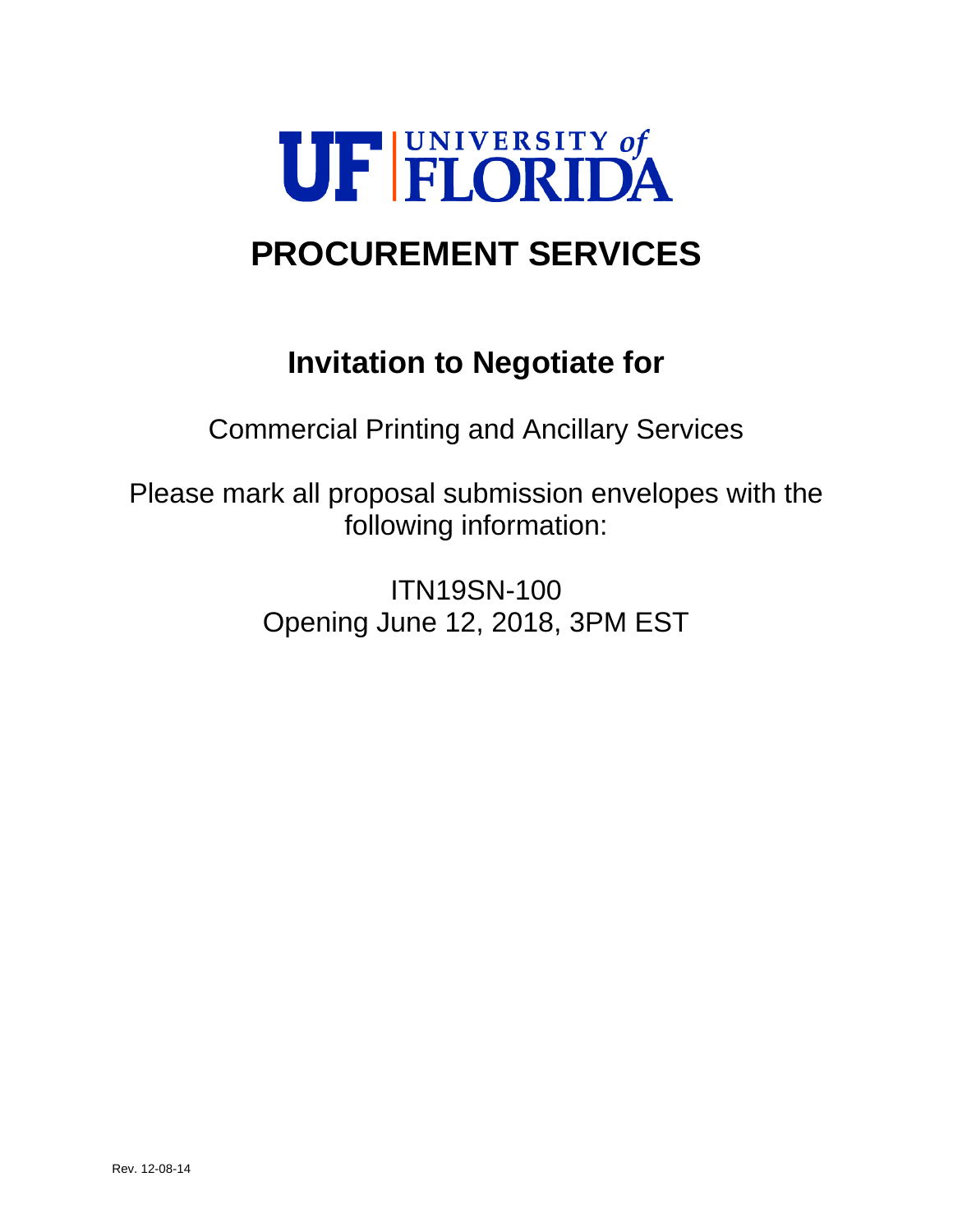

# **PROCUREMENT SERVICES**

## **Invitation to Negotiate for**

Commercial Printing and Ancillary Services

Please mark all proposal submission envelopes with the following information:

> ITN19SN-100 Opening June 12, 2018, 3PM EST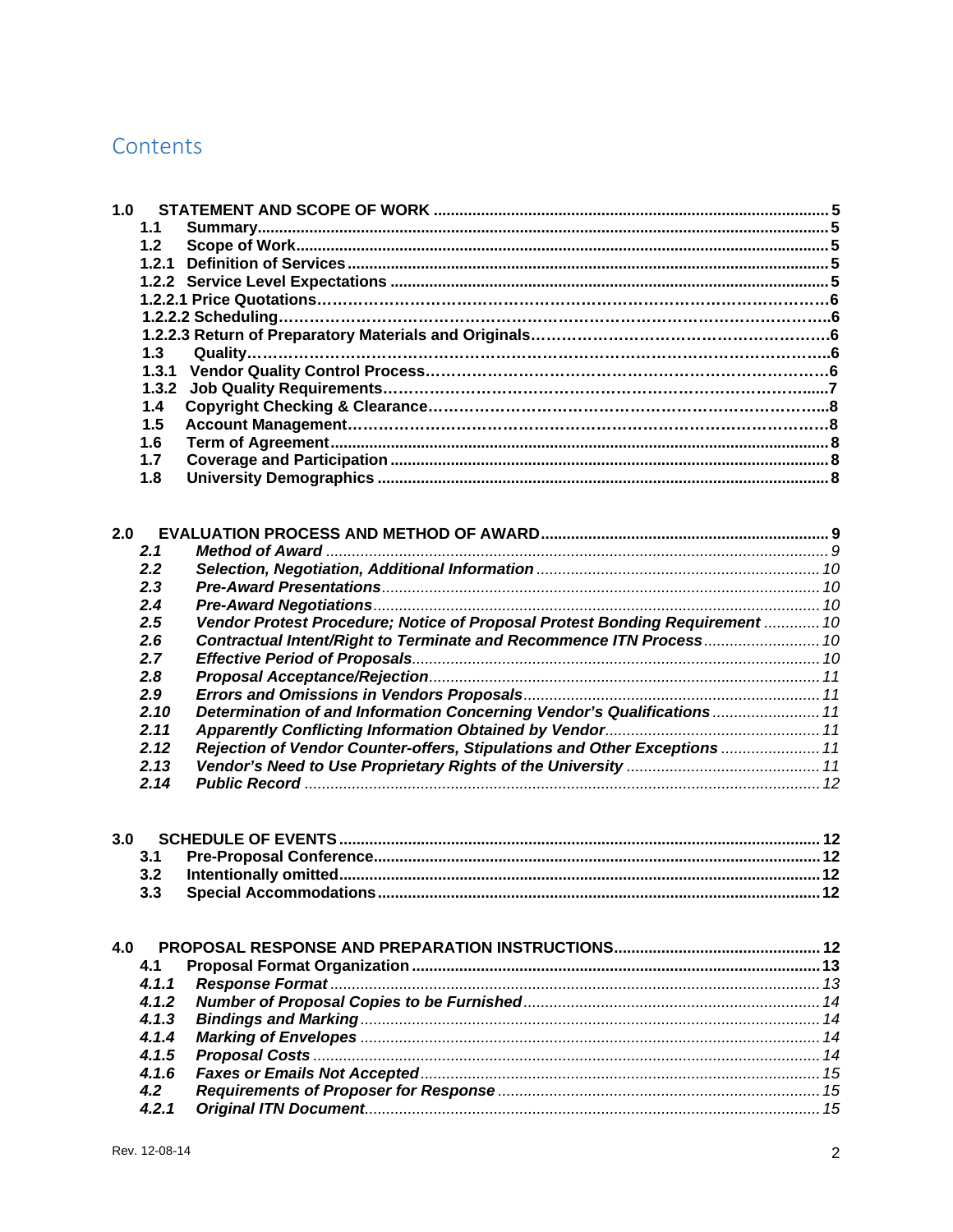### Contents

| 1.0 |       |                                                                              |  |
|-----|-------|------------------------------------------------------------------------------|--|
|     | 1.1   |                                                                              |  |
|     | 1.2   |                                                                              |  |
|     |       |                                                                              |  |
|     |       |                                                                              |  |
|     |       |                                                                              |  |
|     |       |                                                                              |  |
|     |       |                                                                              |  |
|     | $1.3$ |                                                                              |  |
|     |       |                                                                              |  |
|     | 1.3.2 |                                                                              |  |
|     | 1.4   |                                                                              |  |
|     | 1.5   |                                                                              |  |
|     | 1.6   |                                                                              |  |
|     | 1.7   |                                                                              |  |
|     | 1.8   |                                                                              |  |
|     |       |                                                                              |  |
|     |       |                                                                              |  |
| 2.0 |       |                                                                              |  |
|     | 2.1   |                                                                              |  |
|     | 2.2   |                                                                              |  |
|     | 2.3   |                                                                              |  |
|     | 2.4   |                                                                              |  |
|     | 2.5   | Vendor Protest Procedure; Notice of Proposal Protest Bonding Requirement  10 |  |
|     | 2.6   | Contractual Intent/Right to Terminate and Recommence ITN Process 10          |  |
|     | 2.7   |                                                                              |  |
|     | 2.8   |                                                                              |  |
|     | 2.9   |                                                                              |  |
|     | 2.10  | Determination of and Information Concerning Vendor's Qualifications 11       |  |
|     | 2.11  |                                                                              |  |
|     | 2.12  | Rejection of Vendor Counter-offers, Stipulations and Other Exceptions  11    |  |
|     | 2.13  |                                                                              |  |
|     | 2.14  |                                                                              |  |
|     |       |                                                                              |  |
|     |       |                                                                              |  |
| 3.0 |       |                                                                              |  |
|     | 3.1   |                                                                              |  |
|     | 3.2   |                                                                              |  |
|     | 3.3   |                                                                              |  |
|     |       |                                                                              |  |
| 4.0 |       |                                                                              |  |
|     | 4.1   |                                                                              |  |
|     |       |                                                                              |  |
|     | 4.1.1 |                                                                              |  |
|     | 4.1.2 |                                                                              |  |
|     | 4.1.3 |                                                                              |  |
|     | 4.1.4 |                                                                              |  |
|     | 4.1.5 |                                                                              |  |
|     | 4.1.6 |                                                                              |  |
|     | 4.2   |                                                                              |  |
|     | 4.2.1 |                                                                              |  |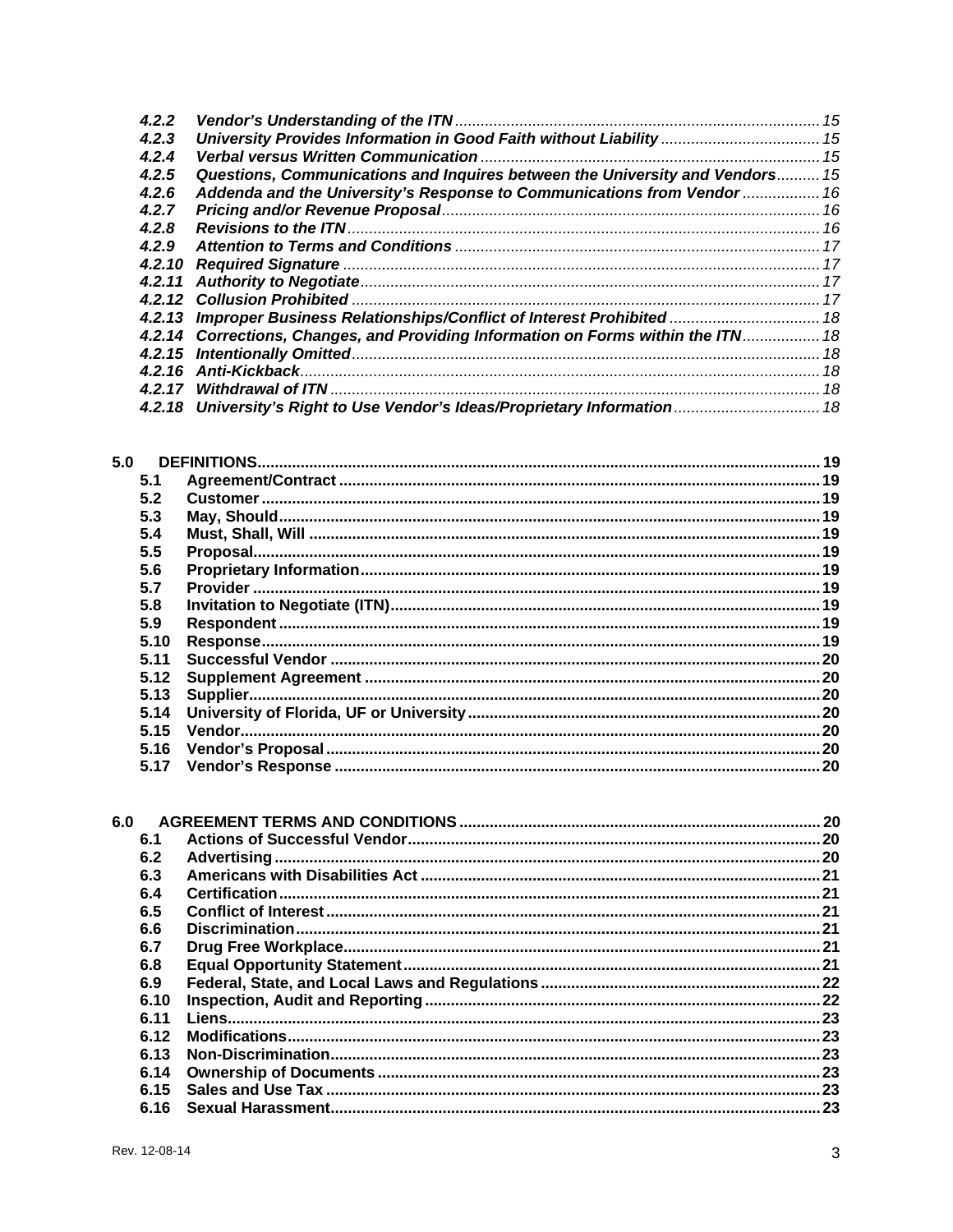| 4.2.2  |                                                                                   |  |
|--------|-----------------------------------------------------------------------------------|--|
| 4.2.3  | University Provides Information in Good Faith without Liability  15               |  |
| 4.2.4  |                                                                                   |  |
| 4.2.5  | Questions, Communications and Inquires between the University and Vendors 15      |  |
| 4.2.6  | Addenda and the University's Response to Communications from Vendor  16           |  |
| 4.2.7  |                                                                                   |  |
| 4.2.8  |                                                                                   |  |
| 4.2.9  |                                                                                   |  |
| 4.2.10 |                                                                                   |  |
|        |                                                                                   |  |
|        |                                                                                   |  |
|        | 4.2.13 Improper Business Relationships/Conflict of Interest Prohibited  18        |  |
|        | 4.2.14 Corrections, Changes, and Providing Information on Forms within the ITN 18 |  |
|        |                                                                                   |  |
|        |                                                                                   |  |
|        |                                                                                   |  |
|        |                                                                                   |  |

| 5.0  |     |
|------|-----|
| 5.1  |     |
| 5.2  |     |
| 5.3  |     |
| 5.4  |     |
| 5.5  |     |
| 5.6  |     |
| 5.7  |     |
| 5.8  |     |
| 5.9  |     |
| 5.10 |     |
| 5.11 |     |
| 5.12 |     |
| 5.13 |     |
| 5.14 |     |
| 5.15 |     |
| 5.16 |     |
| 5.17 | .20 |

| 6.0 |      |  |
|-----|------|--|
|     | 6.1  |  |
|     | 6.2  |  |
|     | 6.3  |  |
|     | 6.4  |  |
|     | 6.5  |  |
|     | 6.6  |  |
|     | 6.7  |  |
|     | 6.8  |  |
|     | 6.9  |  |
|     | 6.10 |  |
|     | 6.11 |  |
|     | 6.12 |  |
|     | 6.13 |  |
|     | 6.14 |  |
|     |      |  |
|     | 6.16 |  |
|     |      |  |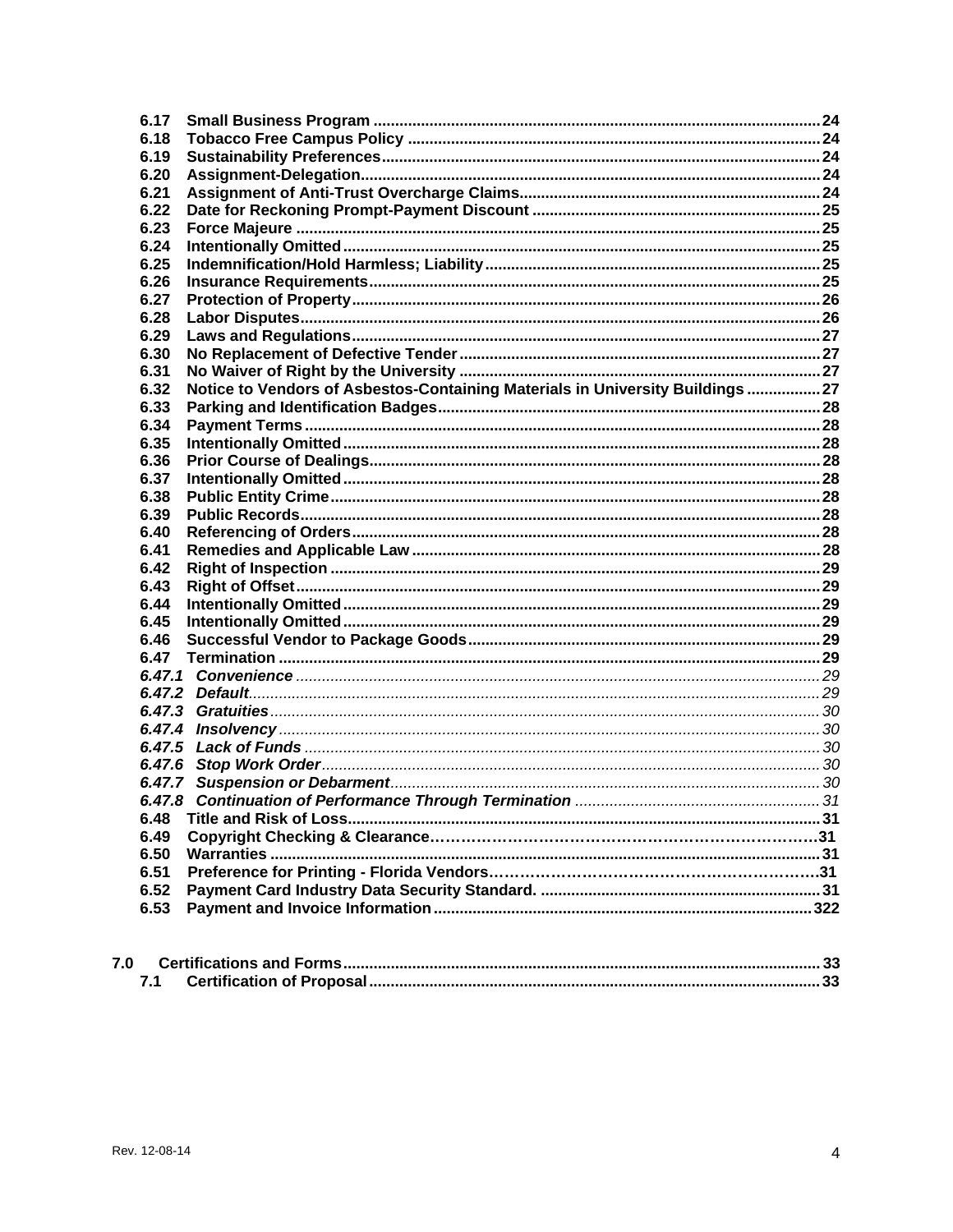| 6.17 |                                                                                |  |
|------|--------------------------------------------------------------------------------|--|
| 6.18 |                                                                                |  |
| 6.19 |                                                                                |  |
| 6.20 |                                                                                |  |
| 6.21 |                                                                                |  |
| 6.22 |                                                                                |  |
| 6.23 |                                                                                |  |
| 6.24 |                                                                                |  |
| 6.25 |                                                                                |  |
| 6.26 |                                                                                |  |
| 6.27 |                                                                                |  |
| 6.28 |                                                                                |  |
| 6.29 |                                                                                |  |
| 6.30 |                                                                                |  |
| 6.31 |                                                                                |  |
| 6.32 | Notice to Vendors of Asbestos-Containing Materials in University Buildings  27 |  |
| 6.33 |                                                                                |  |
| 6.34 |                                                                                |  |
| 6.35 |                                                                                |  |
| 6.36 |                                                                                |  |
| 6.37 |                                                                                |  |
| 6.38 |                                                                                |  |
| 6.39 |                                                                                |  |
| 6.40 |                                                                                |  |
| 6.41 |                                                                                |  |
| 6.42 |                                                                                |  |
| 6.43 |                                                                                |  |
| 6.44 |                                                                                |  |
| 6.45 |                                                                                |  |
|      |                                                                                |  |
| 6.46 |                                                                                |  |
| 6.47 |                                                                                |  |
|      |                                                                                |  |
|      |                                                                                |  |
|      |                                                                                |  |
|      |                                                                                |  |
|      |                                                                                |  |
|      |                                                                                |  |
|      |                                                                                |  |
|      |                                                                                |  |
| 6.48 |                                                                                |  |
| 6.49 |                                                                                |  |
| 6.50 |                                                                                |  |
| 6.51 |                                                                                |  |
| 6.52 |                                                                                |  |
| 6.53 |                                                                                |  |
|      |                                                                                |  |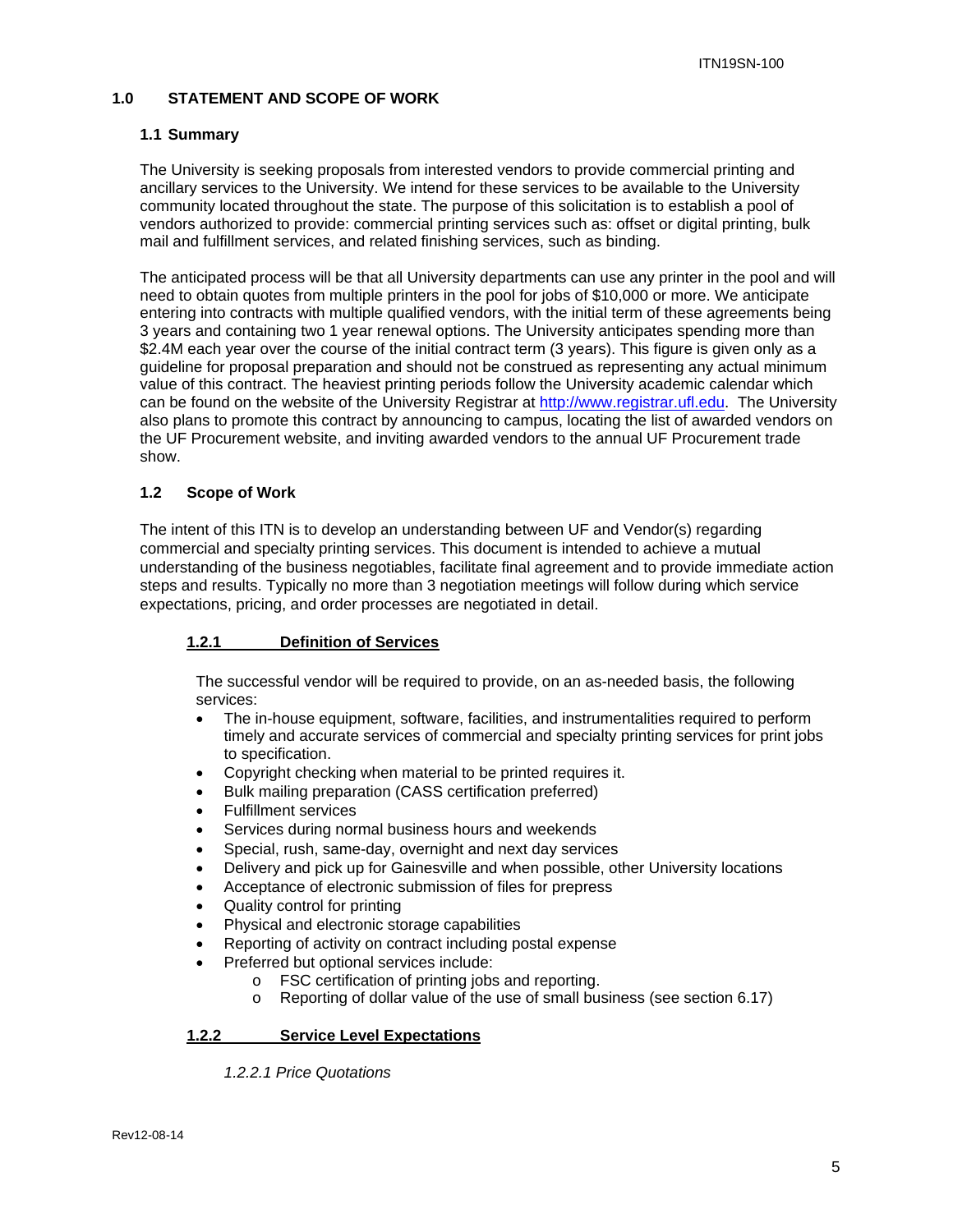#### **1.0 STATEMENT AND SCOPE OF WORK**

#### **1.1 Summary**

The University is seeking proposals from interested vendors to provide commercial printing and ancillary services to the University. We intend for these services to be available to the University community located throughout the state. The purpose of this solicitation is to establish a pool of vendors authorized to provide: commercial printing services such as: offset or digital printing, bulk mail and fulfillment services, and related finishing services, such as binding.

The anticipated process will be that all University departments can use any printer in the pool and will need to obtain quotes from multiple printers in the pool for jobs of \$10,000 or more. We anticipate entering into contracts with multiple qualified vendors, with the initial term of these agreements being 3 years and containing two 1 year renewal options. The University anticipates spending more than \$2.4M each year over the course of the initial contract term (3 years). This figure is given only as a guideline for proposal preparation and should not be construed as representing any actual minimum value of this contract. The heaviest printing periods follow the University academic calendar which can be found on the website of the University Registrar at http://www.registrar.ufl.edu. The University also plans to promote this contract by announcing to campus, locating the list of awarded vendors on the UF Procurement website, and inviting awarded vendors to the annual UF Procurement trade show.

#### **1.2 Scope of Work**

The intent of this ITN is to develop an understanding between UF and Vendor(s) regarding commercial and specialty printing services. This document is intended to achieve a mutual understanding of the business negotiables, facilitate final agreement and to provide immediate action steps and results. Typically no more than 3 negotiation meetings will follow during which service expectations, pricing, and order processes are negotiated in detail.

#### **1.2.1 Definition of Services**

The successful vendor will be required to provide, on an as-needed basis, the following services:

- The in-house equipment, software, facilities, and instrumentalities required to perform timely and accurate services of commercial and specialty printing services for print jobs to specification.
- Copyright checking when material to be printed requires it.
- Bulk mailing preparation (CASS certification preferred)
- Fulfillment services
- Services during normal business hours and weekends
- Special, rush, same-day, overnight and next day services
- Delivery and pick up for Gainesville and when possible, other University locations
- Acceptance of electronic submission of files for prepress
- Quality control for printing
- Physical and electronic storage capabilities
- Reporting of activity on contract including postal expense
- Preferred but optional services include:
	- o FSC certification of printing jobs and reporting.
	- Reporting of dollar value of the use of small business (see section 6.17)

#### **1.2.2 Service Level Expectations**

 *1.2.2.1 Price Quotations*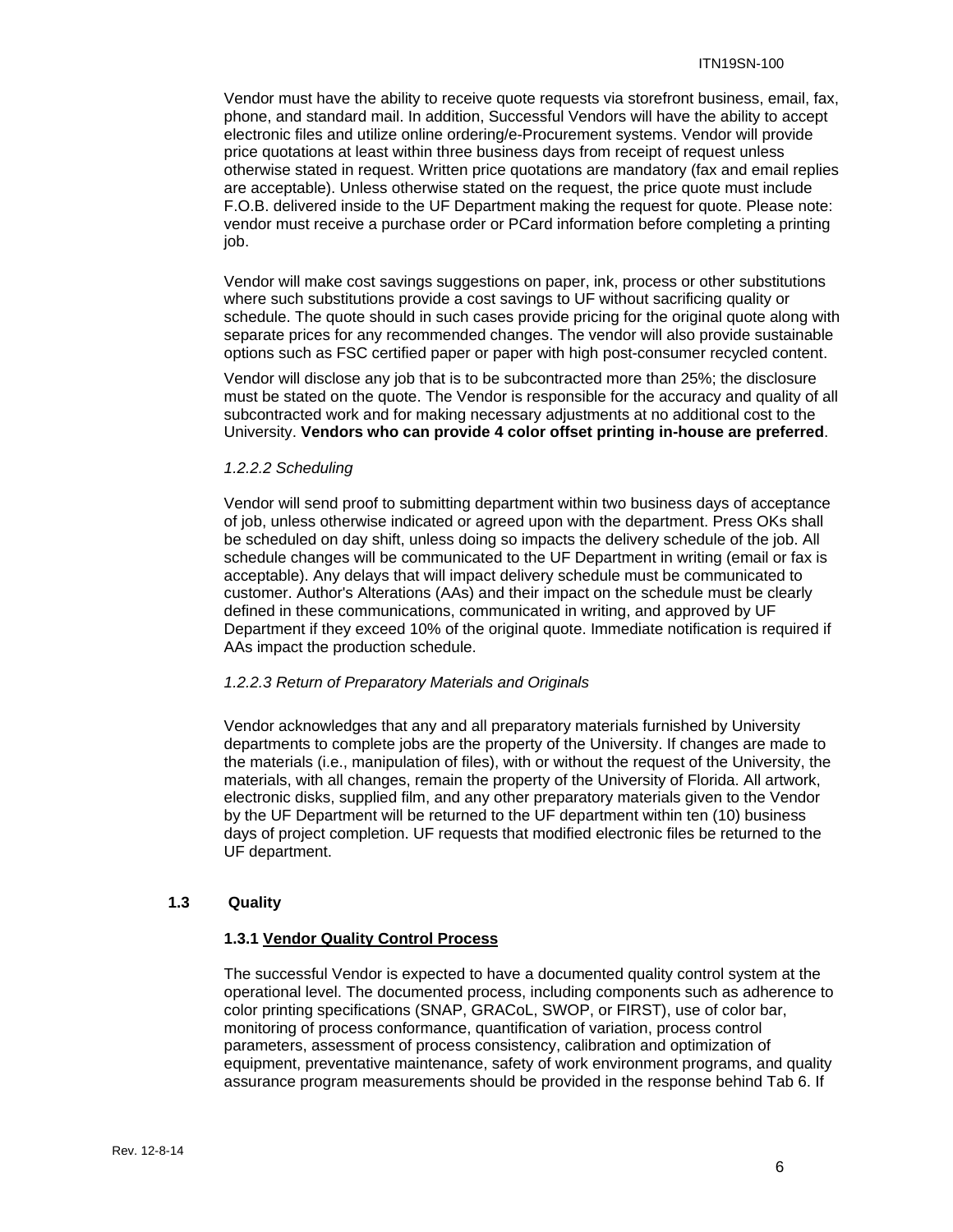Vendor must have the ability to receive quote requests via storefront business, email, fax, phone, and standard mail. In addition, Successful Vendors will have the ability to accept electronic files and utilize online ordering/e-Procurement systems. Vendor will provide price quotations at least within three business days from receipt of request unless otherwise stated in request. Written price quotations are mandatory (fax and email replies are acceptable). Unless otherwise stated on the request, the price quote must include F.O.B. delivered inside to the UF Department making the request for quote. Please note: vendor must receive a purchase order or PCard information before completing a printing job.

Vendor will make cost savings suggestions on paper, ink, process or other substitutions where such substitutions provide a cost savings to UF without sacrificing quality or schedule. The quote should in such cases provide pricing for the original quote along with separate prices for any recommended changes. The vendor will also provide sustainable options such as FSC certified paper or paper with high post-consumer recycled content.

Vendor will disclose any job that is to be subcontracted more than 25%; the disclosure must be stated on the quote. The Vendor is responsible for the accuracy and quality of all subcontracted work and for making necessary adjustments at no additional cost to the University. **Vendors who can provide 4 color offset printing in-house are preferred**.

#### *1.2.2.2 Scheduling*

Vendor will send proof to submitting department within two business days of acceptance of job, unless otherwise indicated or agreed upon with the department. Press OKs shall be scheduled on day shift, unless doing so impacts the delivery schedule of the job. All schedule changes will be communicated to the UF Department in writing (email or fax is acceptable). Any delays that will impact delivery schedule must be communicated to customer. Author's Alterations (AAs) and their impact on the schedule must be clearly defined in these communications, communicated in writing, and approved by UF Department if they exceed 10% of the original quote. Immediate notification is required if AAs impact the production schedule.

#### *1.2.2.3 Return of Preparatory Materials and Originals*

Vendor acknowledges that any and all preparatory materials furnished by University departments to complete jobs are the property of the University. If changes are made to the materials (i.e., manipulation of files), with or without the request of the University, the materials, with all changes, remain the property of the University of Florida. All artwork, electronic disks, supplied film, and any other preparatory materials given to the Vendor by the UF Department will be returned to the UF department within ten (10) business days of project completion. UF requests that modified electronic files be returned to the UF department.

#### **1.3 Quality**

#### **1.3.1 Vendor Quality Control Process**

The successful Vendor is expected to have a documented quality control system at the operational level. The documented process, including components such as adherence to color printing specifications (SNAP, GRACoL, SWOP, or FIRST), use of color bar, monitoring of process conformance, quantification of variation, process control parameters, assessment of process consistency, calibration and optimization of equipment, preventative maintenance, safety of work environment programs, and quality assurance program measurements should be provided in the response behind Tab 6. If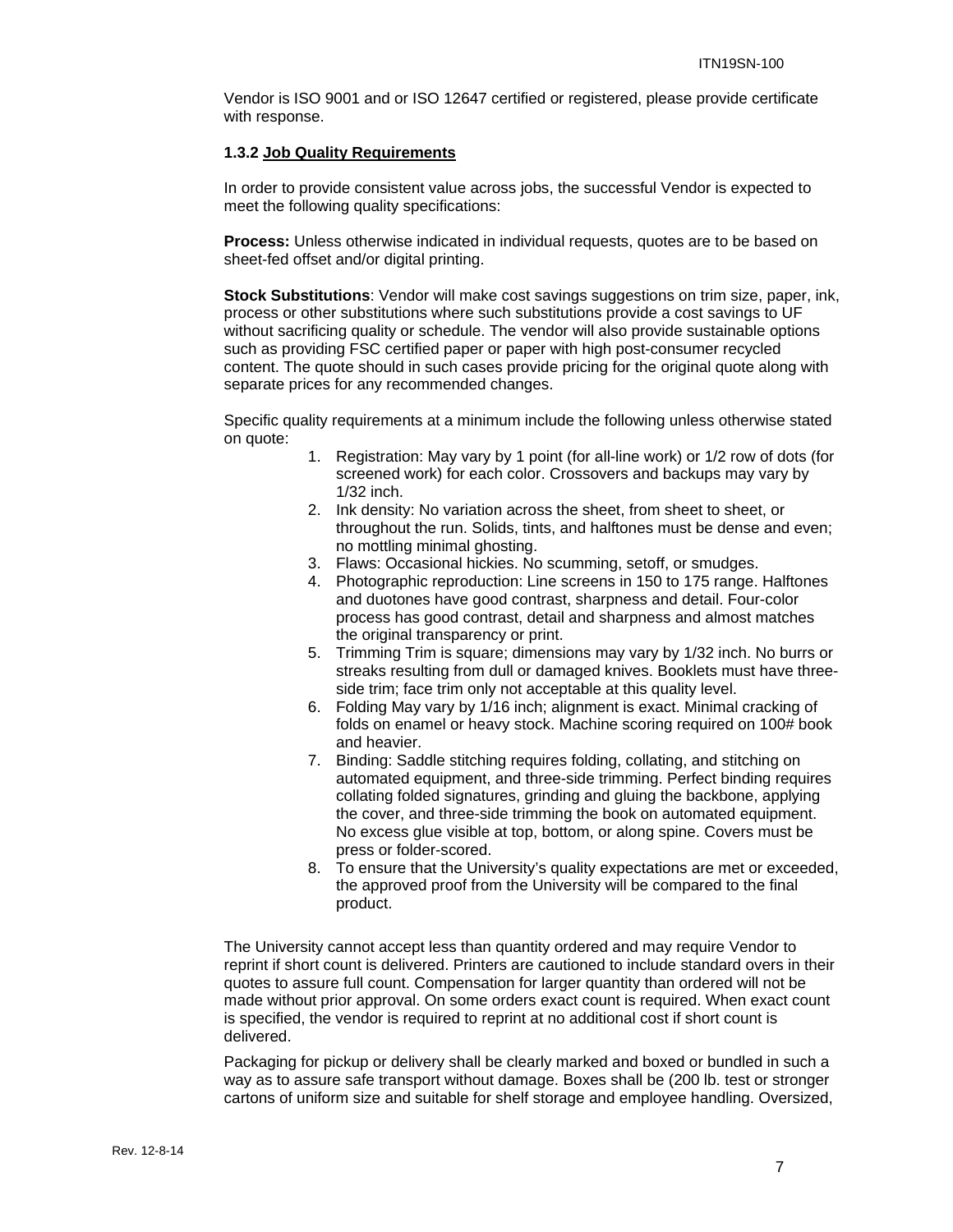Vendor is ISO 9001 and or ISO 12647 certified or registered, please provide certificate with response.

#### **1.3.2 Job Quality Requirements**

In order to provide consistent value across jobs, the successful Vendor is expected to meet the following quality specifications:

**Process:** Unless otherwise indicated in individual requests, quotes are to be based on sheet-fed offset and/or digital printing.

**Stock Substitutions**: Vendor will make cost savings suggestions on trim size, paper, ink, process or other substitutions where such substitutions provide a cost savings to UF without sacrificing quality or schedule. The vendor will also provide sustainable options such as providing FSC certified paper or paper with high post-consumer recycled content. The quote should in such cases provide pricing for the original quote along with separate prices for any recommended changes.

Specific quality requirements at a minimum include the following unless otherwise stated on quote:

- 1. Registration: May vary by 1 point (for all-line work) or 1/2 row of dots (for screened work) for each color. Crossovers and backups may vary by 1/32 inch.
- 2. Ink density: No variation across the sheet, from sheet to sheet, or throughout the run. Solids, tints, and halftones must be dense and even; no mottling minimal ghosting.
- 3. Flaws: Occasional hickies. No scumming, setoff, or smudges.
- 4. Photographic reproduction: Line screens in 150 to 175 range. Halftones and duotones have good contrast, sharpness and detail. Four-color process has good contrast, detail and sharpness and almost matches the original transparency or print.
- 5. Trimming Trim is square; dimensions may vary by 1/32 inch. No burrs or streaks resulting from dull or damaged knives. Booklets must have threeside trim; face trim only not acceptable at this quality level.
- 6. Folding May vary by 1/16 inch; alignment is exact. Minimal cracking of folds on enamel or heavy stock. Machine scoring required on 100# book and heavier.
- 7. Binding: Saddle stitching requires folding, collating, and stitching on automated equipment, and three-side trimming. Perfect binding requires collating folded signatures, grinding and gluing the backbone, applying the cover, and three-side trimming the book on automated equipment. No excess glue visible at top, bottom, or along spine. Covers must be press or folder-scored.
- 8. To ensure that the University's quality expectations are met or exceeded, the approved proof from the University will be compared to the final product.

The University cannot accept less than quantity ordered and may require Vendor to reprint if short count is delivered. Printers are cautioned to include standard overs in their quotes to assure full count. Compensation for larger quantity than ordered will not be made without prior approval. On some orders exact count is required. When exact count is specified, the vendor is required to reprint at no additional cost if short count is delivered.

Packaging for pickup or delivery shall be clearly marked and boxed or bundled in such a way as to assure safe transport without damage. Boxes shall be (200 lb. test or stronger cartons of uniform size and suitable for shelf storage and employee handling. Oversized,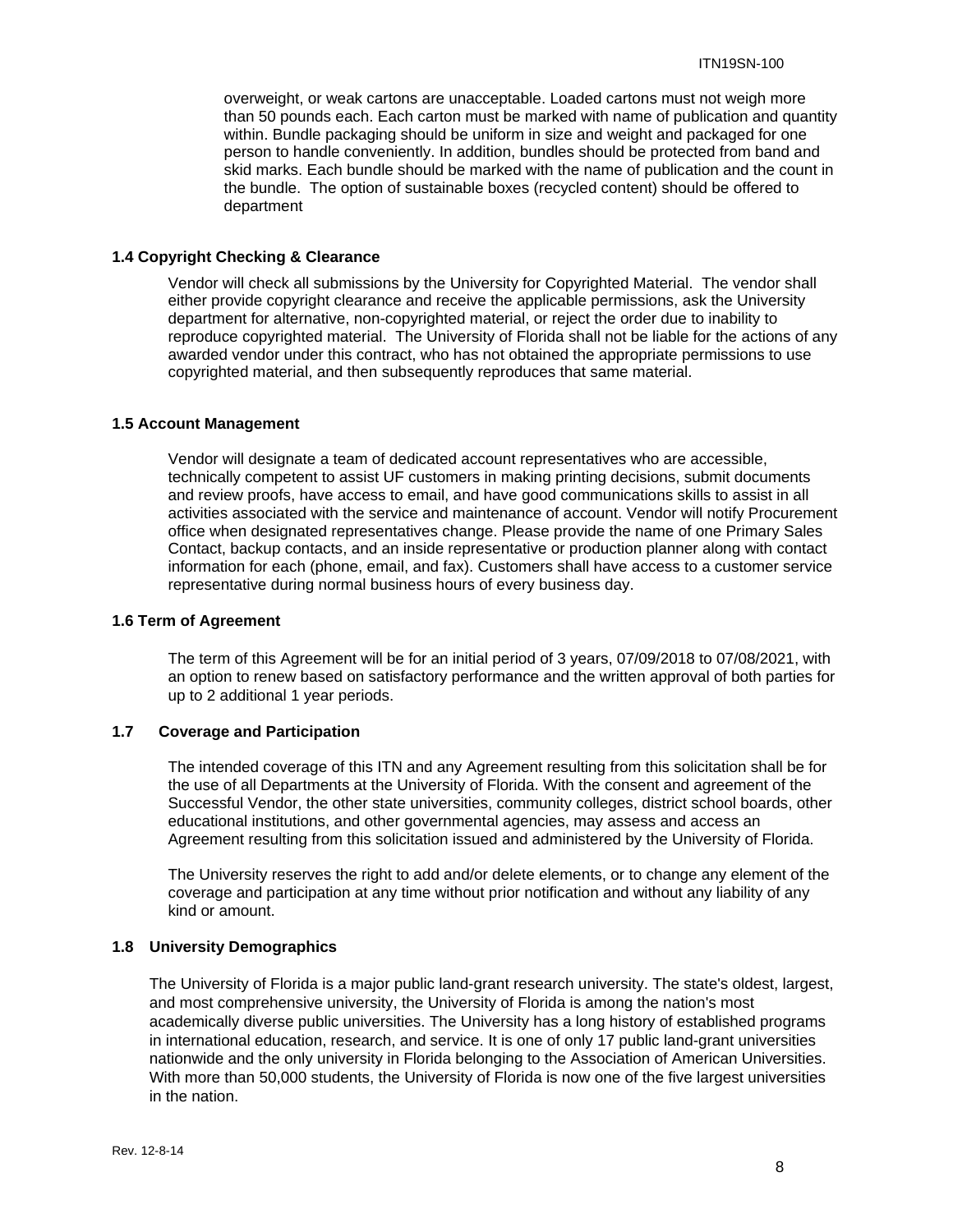overweight, or weak cartons are unacceptable. Loaded cartons must not weigh more than 50 pounds each. Each carton must be marked with name of publication and quantity within. Bundle packaging should be uniform in size and weight and packaged for one person to handle conveniently. In addition, bundles should be protected from band and skid marks. Each bundle should be marked with the name of publication and the count in the bundle. The option of sustainable boxes (recycled content) should be offered to department

#### **1.4 Copyright Checking & Clearance**

Vendor will check all submissions by the University for Copyrighted Material. The vendor shall either provide copyright clearance and receive the applicable permissions, ask the University department for alternative, non-copyrighted material, or reject the order due to inability to reproduce copyrighted material. The University of Florida shall not be liable for the actions of any awarded vendor under this contract, who has not obtained the appropriate permissions to use copyrighted material, and then subsequently reproduces that same material.

#### **1.5 Account Management**

Vendor will designate a team of dedicated account representatives who are accessible, technically competent to assist UF customers in making printing decisions, submit documents and review proofs, have access to email, and have good communications skills to assist in all activities associated with the service and maintenance of account. Vendor will notify Procurement office when designated representatives change. Please provide the name of one Primary Sales Contact, backup contacts, and an inside representative or production planner along with contact information for each (phone, email, and fax). Customers shall have access to a customer service representative during normal business hours of every business day.

#### **1.6 Term of Agreement**

The term of this Agreement will be for an initial period of 3 years, 07/09/2018 to 07/08/2021, with an option to renew based on satisfactory performance and the written approval of both parties for up to 2 additional 1 year periods.

#### **1.7 Coverage and Participation**

The intended coverage of this ITN and any Agreement resulting from this solicitation shall be for the use of all Departments at the University of Florida. With the consent and agreement of the Successful Vendor, the other state universities, community colleges, district school boards, other educational institutions, and other governmental agencies, may assess and access an Agreement resulting from this solicitation issued and administered by the University of Florida.

The University reserves the right to add and/or delete elements, or to change any element of the coverage and participation at any time without prior notification and without any liability of any kind or amount.

#### **1.8 University Demographics**

The University of Florida is a major public land-grant research university. The state's oldest, largest, and most comprehensive university, the University of Florida is among the nation's most academically diverse public universities. The University has a long history of established programs in international education, research, and service. It is one of only 17 public land-grant universities nationwide and the only university in Florida belonging to the Association of American Universities. With more than 50,000 students, the University of Florida is now one of the five largest universities in the nation.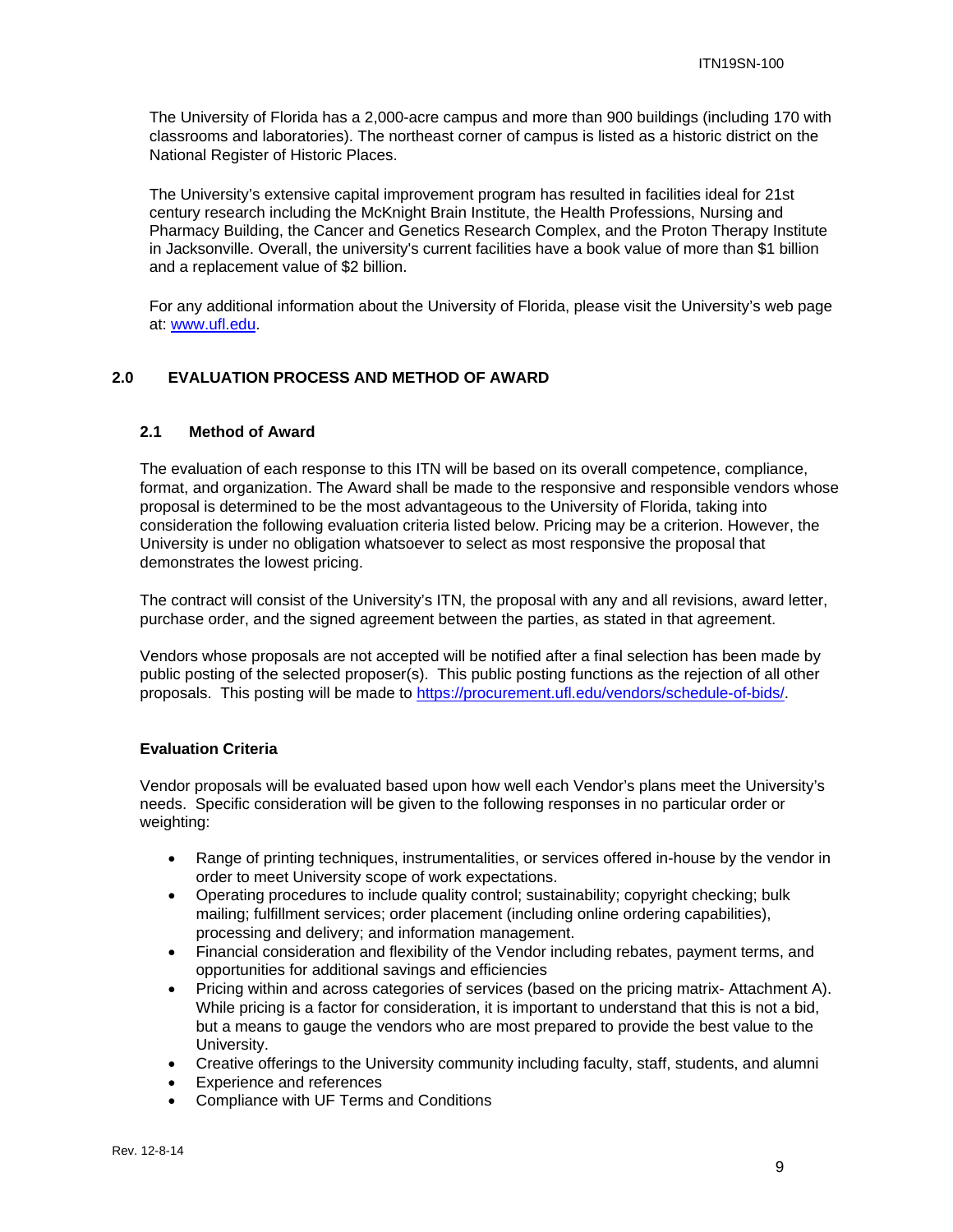The University of Florida has a 2,000-acre campus and more than 900 buildings (including 170 with classrooms and laboratories). The northeast corner of campus is listed as a historic district on the National Register of Historic Places.

The University's extensive capital improvement program has resulted in facilities ideal for 21st century research including the McKnight Brain Institute, the Health Professions, Nursing and Pharmacy Building, the Cancer and Genetics Research Complex, and the Proton Therapy Institute in Jacksonville. Overall, the university's current facilities have a book value of more than \$1 billion and a replacement value of \$2 billion.

For any additional information about the University of Florida, please visit the University's web page at: www.ufl.edu.

#### **2.0 EVALUATION PROCESS AND METHOD OF AWARD**

#### **2.1 Method of Award**

The evaluation of each response to this ITN will be based on its overall competence, compliance, format, and organization. The Award shall be made to the responsive and responsible vendors whose proposal is determined to be the most advantageous to the University of Florida, taking into consideration the following evaluation criteria listed below. Pricing may be a criterion. However, the University is under no obligation whatsoever to select as most responsive the proposal that demonstrates the lowest pricing.

The contract will consist of the University's ITN, the proposal with any and all revisions, award letter, purchase order, and the signed agreement between the parties, as stated in that agreement.

Vendors whose proposals are not accepted will be notified after a final selection has been made by public posting of the selected proposer(s). This public posting functions as the rejection of all other proposals. This posting will be made to https://procurement.ufl.edu/vendors/schedule-of-bids/.

#### **Evaluation Criteria**

Vendor proposals will be evaluated based upon how well each Vendor's plans meet the University's needs. Specific consideration will be given to the following responses in no particular order or weighting:

- Range of printing techniques, instrumentalities, or services offered in-house by the vendor in order to meet University scope of work expectations.
- Operating procedures to include quality control; sustainability; copyright checking; bulk mailing; fulfillment services; order placement (including online ordering capabilities), processing and delivery; and information management.
- Financial consideration and flexibility of the Vendor including rebates, payment terms, and opportunities for additional savings and efficiencies
- Pricing within and across categories of services (based on the pricing matrix- Attachment A). While pricing is a factor for consideration, it is important to understand that this is not a bid, but a means to gauge the vendors who are most prepared to provide the best value to the University.
- Creative offerings to the University community including faculty, staff, students, and alumni
- Experience and references
- Compliance with UF Terms and Conditions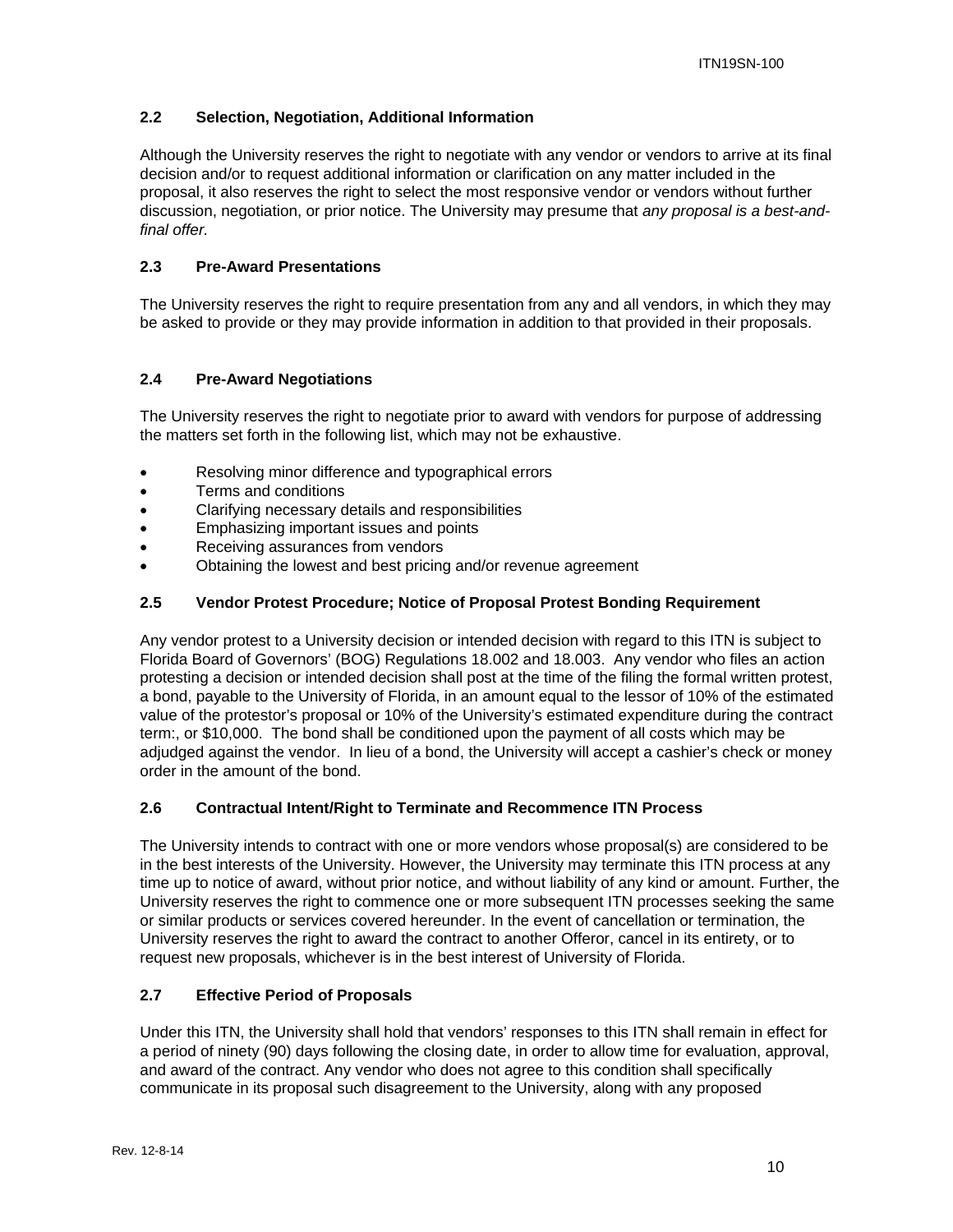#### **2.2 Selection, Negotiation, Additional Information**

Although the University reserves the right to negotiate with any vendor or vendors to arrive at its final decision and/or to request additional information or clarification on any matter included in the proposal, it also reserves the right to select the most responsive vendor or vendors without further discussion, negotiation, or prior notice. The University may presume that *any proposal is a best-andfinal offer.* 

#### **2.3 Pre-Award Presentations**

The University reserves the right to require presentation from any and all vendors, in which they may be asked to provide or they may provide information in addition to that provided in their proposals.

#### **2.4 Pre-Award Negotiations**

The University reserves the right to negotiate prior to award with vendors for purpose of addressing the matters set forth in the following list, which may not be exhaustive.

- Resolving minor difference and typographical errors
- Terms and conditions
- Clarifying necessary details and responsibilities
- Emphasizing important issues and points
- Receiving assurances from vendors
- Obtaining the lowest and best pricing and/or revenue agreement

#### **2.5 Vendor Protest Procedure; Notice of Proposal Protest Bonding Requirement**

Any vendor protest to a University decision or intended decision with regard to this ITN is subject to Florida Board of Governors' (BOG) Regulations 18.002 and 18.003. Any vendor who files an action protesting a decision or intended decision shall post at the time of the filing the formal written protest, a bond, payable to the University of Florida, in an amount equal to the lessor of 10% of the estimated value of the protestor's proposal or 10% of the University's estimated expenditure during the contract term:, or \$10,000. The bond shall be conditioned upon the payment of all costs which may be adjudged against the vendor. In lieu of a bond, the University will accept a cashier's check or money order in the amount of the bond.

#### **2.6 Contractual Intent/Right to Terminate and Recommence ITN Process**

The University intends to contract with one or more vendors whose proposal(s) are considered to be in the best interests of the University. However, the University may terminate this ITN process at any time up to notice of award, without prior notice, and without liability of any kind or amount. Further, the University reserves the right to commence one or more subsequent ITN processes seeking the same or similar products or services covered hereunder. In the event of cancellation or termination, the University reserves the right to award the contract to another Offeror, cancel in its entirety, or to request new proposals, whichever is in the best interest of University of Florida.

#### **2.7 Effective Period of Proposals**

Under this ITN, the University shall hold that vendors' responses to this ITN shall remain in effect for a period of ninety (90) days following the closing date, in order to allow time for evaluation, approval, and award of the contract. Any vendor who does not agree to this condition shall specifically communicate in its proposal such disagreement to the University, along with any proposed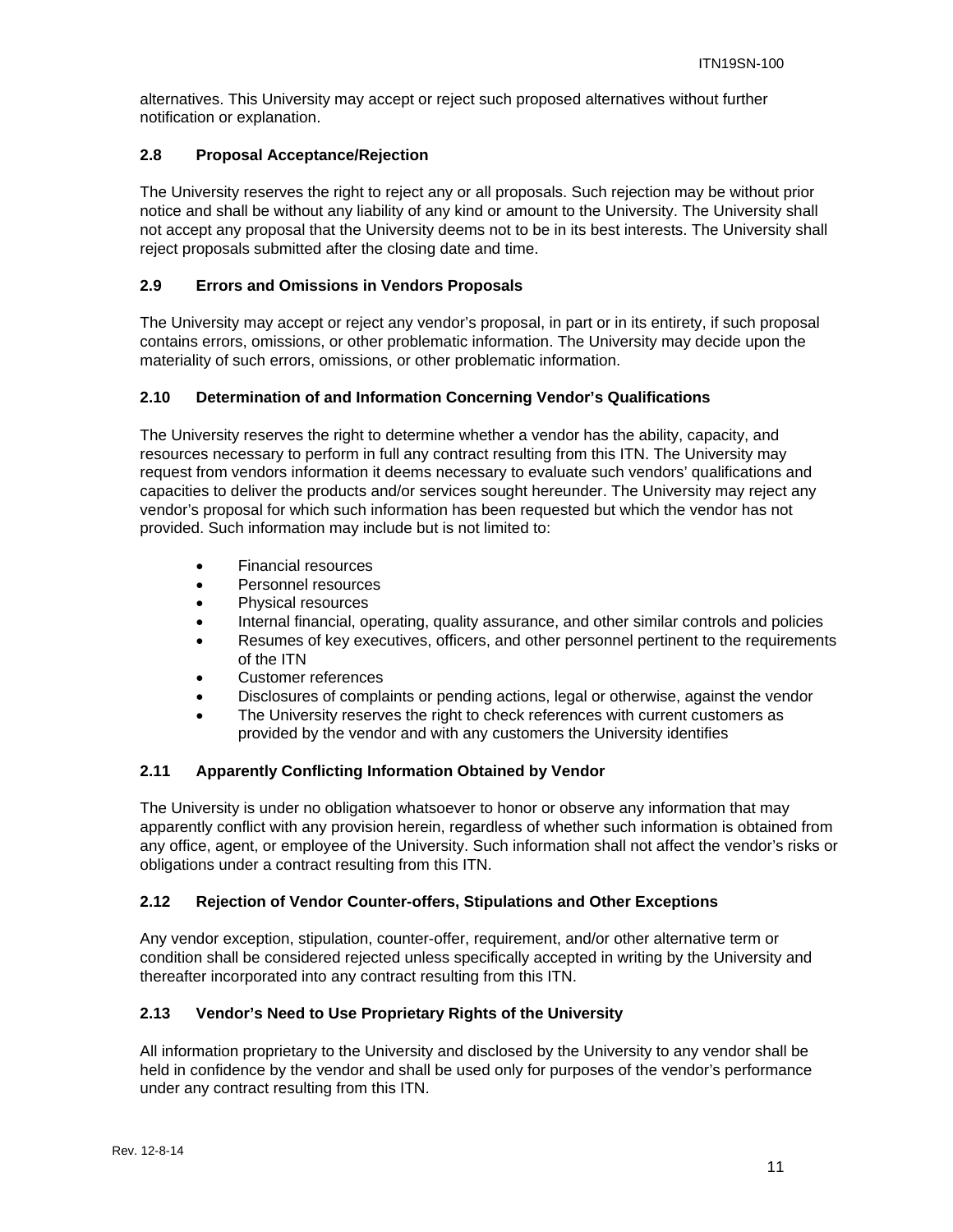alternatives. This University may accept or reject such proposed alternatives without further notification or explanation.

#### **2.8 Proposal Acceptance/Rejection**

The University reserves the right to reject any or all proposals. Such rejection may be without prior notice and shall be without any liability of any kind or amount to the University. The University shall not accept any proposal that the University deems not to be in its best interests. The University shall reject proposals submitted after the closing date and time.

#### **2.9 Errors and Omissions in Vendors Proposals**

The University may accept or reject any vendor's proposal, in part or in its entirety, if such proposal contains errors, omissions, or other problematic information. The University may decide upon the materiality of such errors, omissions, or other problematic information.

#### **2.10 Determination of and Information Concerning Vendor's Qualifications**

The University reserves the right to determine whether a vendor has the ability, capacity, and resources necessary to perform in full any contract resulting from this ITN. The University may request from vendors information it deems necessary to evaluate such vendors' qualifications and capacities to deliver the products and/or services sought hereunder. The University may reject any vendor's proposal for which such information has been requested but which the vendor has not provided. Such information may include but is not limited to:

- Financial resources
- Personnel resources
- Physical resources
- Internal financial, operating, quality assurance, and other similar controls and policies
- Resumes of key executives, officers, and other personnel pertinent to the requirements of the ITN
- Customer references
- Disclosures of complaints or pending actions, legal or otherwise, against the vendor
- The University reserves the right to check references with current customers as provided by the vendor and with any customers the University identifies

#### **2.11 Apparently Conflicting Information Obtained by Vendor**

The University is under no obligation whatsoever to honor or observe any information that may apparently conflict with any provision herein, regardless of whether such information is obtained from any office, agent, or employee of the University. Such information shall not affect the vendor's risks or obligations under a contract resulting from this ITN.

#### **2.12 Rejection of Vendor Counter-offers, Stipulations and Other Exceptions**

Any vendor exception, stipulation, counter-offer, requirement, and/or other alternative term or condition shall be considered rejected unless specifically accepted in writing by the University and thereafter incorporated into any contract resulting from this ITN.

#### **2.13 Vendor's Need to Use Proprietary Rights of the University**

All information proprietary to the University and disclosed by the University to any vendor shall be held in confidence by the vendor and shall be used only for purposes of the vendor's performance under any contract resulting from this ITN.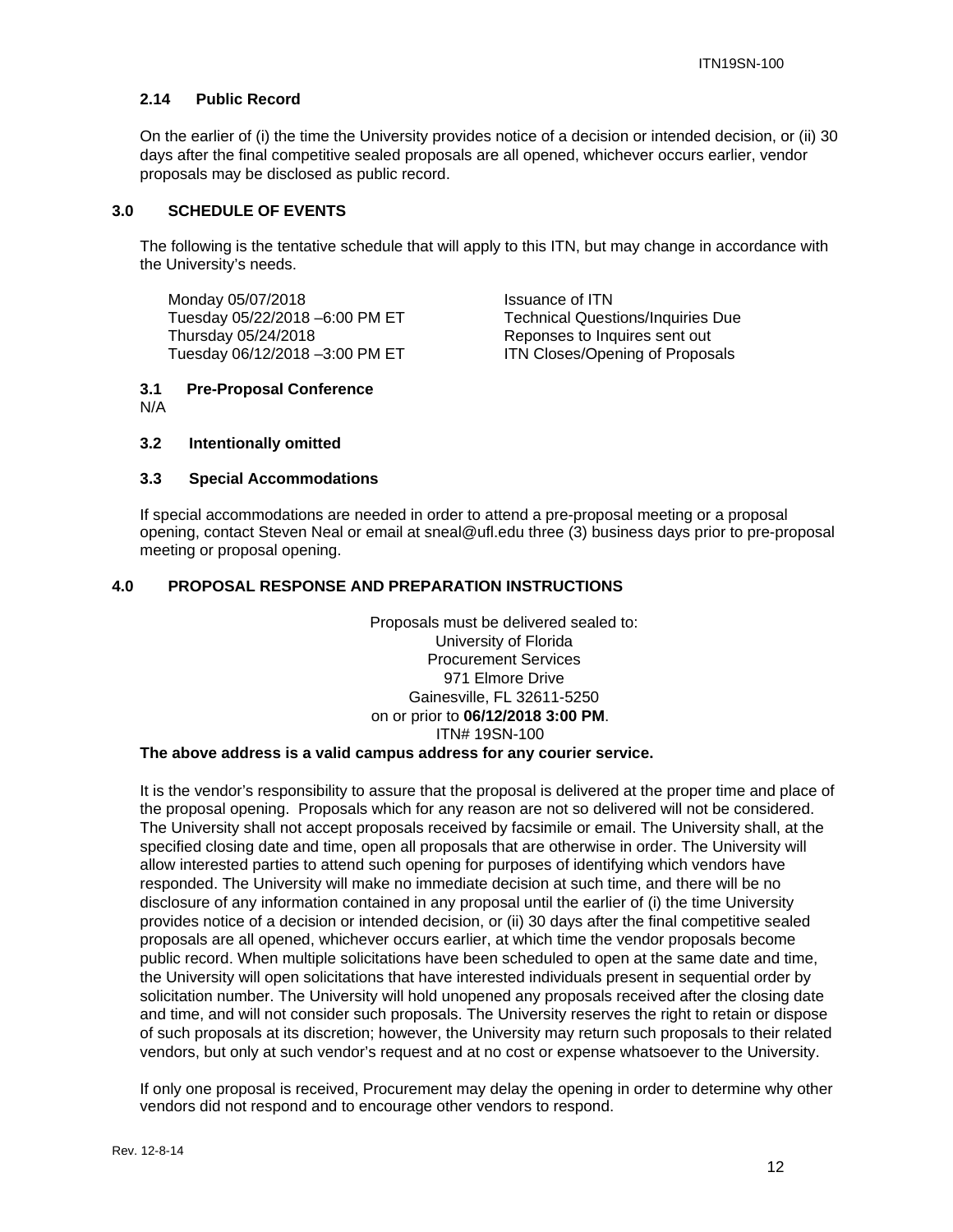#### **2.14 Public Record**

On the earlier of (i) the time the University provides notice of a decision or intended decision, or (ii) 30 days after the final competitive sealed proposals are all opened, whichever occurs earlier, vendor proposals may be disclosed as public record.

#### **3.0 SCHEDULE OF EVENTS**

The following is the tentative schedule that will apply to this ITN, but may change in accordance with the University's needs.

Monday 05/07/2018<br>Tuesday 05/22/2018 –6:00 PM ET Technical Quest Thursday 05/24/2018 Reponses to Inquires sent out Tuesday 06/12/2018 -3:00 PM ET **ITN Closes/Opening of Proposals** 

Technical Questions/Inquiries Due

#### **3.1 Pre-Proposal Conference**  N/A

#### **3.2 Intentionally omitted**

#### **3.3 Special Accommodations**

If special accommodations are needed in order to attend a pre-proposal meeting or a proposal opening, contact Steven Neal or email at sneal@ufl.edu three (3) business days prior to pre-proposal meeting or proposal opening.

#### **4.0 PROPOSAL RESPONSE AND PREPARATION INSTRUCTIONS**

Proposals must be delivered sealed to: University of Florida Procurement Services 971 Elmore Drive Gainesville, FL 32611-5250 on or prior to **06/12/2018 3:00 PM**. ITN# 19SN-100

#### **The above address is a valid campus address for any courier service.**

It is the vendor's responsibility to assure that the proposal is delivered at the proper time and place of the proposal opening. Proposals which for any reason are not so delivered will not be considered. The University shall not accept proposals received by facsimile or email. The University shall, at the specified closing date and time, open all proposals that are otherwise in order. The University will allow interested parties to attend such opening for purposes of identifying which vendors have responded. The University will make no immediate decision at such time, and there will be no disclosure of any information contained in any proposal until the earlier of (i) the time University provides notice of a decision or intended decision, or (ii) 30 days after the final competitive sealed proposals are all opened, whichever occurs earlier, at which time the vendor proposals become public record. When multiple solicitations have been scheduled to open at the same date and time, the University will open solicitations that have interested individuals present in sequential order by solicitation number. The University will hold unopened any proposals received after the closing date and time, and will not consider such proposals. The University reserves the right to retain or dispose of such proposals at its discretion; however, the University may return such proposals to their related vendors, but only at such vendor's request and at no cost or expense whatsoever to the University.

If only one proposal is received, Procurement may delay the opening in order to determine why other vendors did not respond and to encourage other vendors to respond.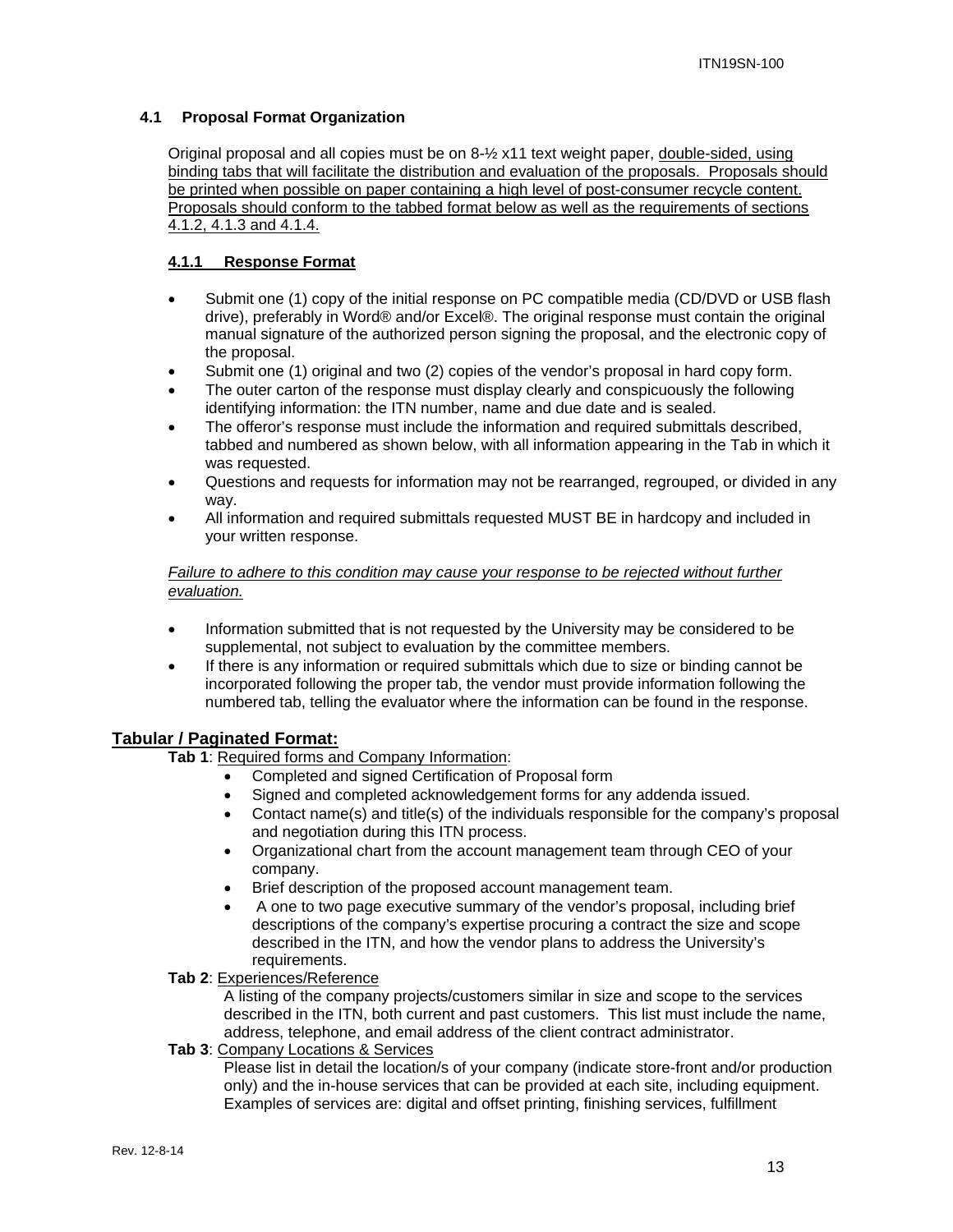#### **4.1 Proposal Format Organization**

Original proposal and all copies must be on 8-½ x11 text weight paper, double-sided, using binding tabs that will facilitate the distribution and evaluation of the proposals. Proposals should be printed when possible on paper containing a high level of post-consumer recycle content. Proposals should conform to the tabbed format below as well as the requirements of sections 4.1.2, 4.1.3 and 4.1.4.

#### **4.1.1 Response Format**

- Submit one (1) copy of the initial response on PC compatible media (CD/DVD or USB flash drive), preferably in Word® and/or Excel®. The original response must contain the original manual signature of the authorized person signing the proposal, and the electronic copy of the proposal.
- Submit one (1) original and two (2) copies of the vendor's proposal in hard copy form.
- The outer carton of the response must display clearly and conspicuously the following identifying information: the ITN number, name and due date and is sealed.
- The offeror's response must include the information and required submittals described, tabbed and numbered as shown below, with all information appearing in the Tab in which it was requested.
- Questions and requests for information may not be rearranged, regrouped, or divided in any way.
- All information and required submittals requested MUST BE in hardcopy and included in your written response.

#### *Failure to adhere to this condition may cause your response to be rejected without further evaluation.*

- Information submitted that is not requested by the University may be considered to be supplemental, not subject to evaluation by the committee members.
- If there is any information or required submittals which due to size or binding cannot be incorporated following the proper tab, the vendor must provide information following the numbered tab, telling the evaluator where the information can be found in the response.

#### **Tabular / Paginated Format:**

**Tab 1**: Required forms and Company Information:

- Completed and signed Certification of Proposal form
- Signed and completed acknowledgement forms for any addenda issued.
- Contact name(s) and title(s) of the individuals responsible for the company's proposal and negotiation during this ITN process.
- Organizational chart from the account management team through CEO of your company.
- Brief description of the proposed account management team.
- A one to two page executive summary of the vendor's proposal, including brief descriptions of the company's expertise procuring a contract the size and scope described in the ITN, and how the vendor plans to address the University's requirements.

#### **Tab 2**: Experiences/Reference

A listing of the company projects/customers similar in size and scope to the services described in the ITN, both current and past customers. This list must include the name, address, telephone, and email address of the client contract administrator.

#### **Tab 3**: Company Locations & Services

Please list in detail the location/s of your company (indicate store-front and/or production only) and the in-house services that can be provided at each site, including equipment. Examples of services are: digital and offset printing, finishing services, fulfillment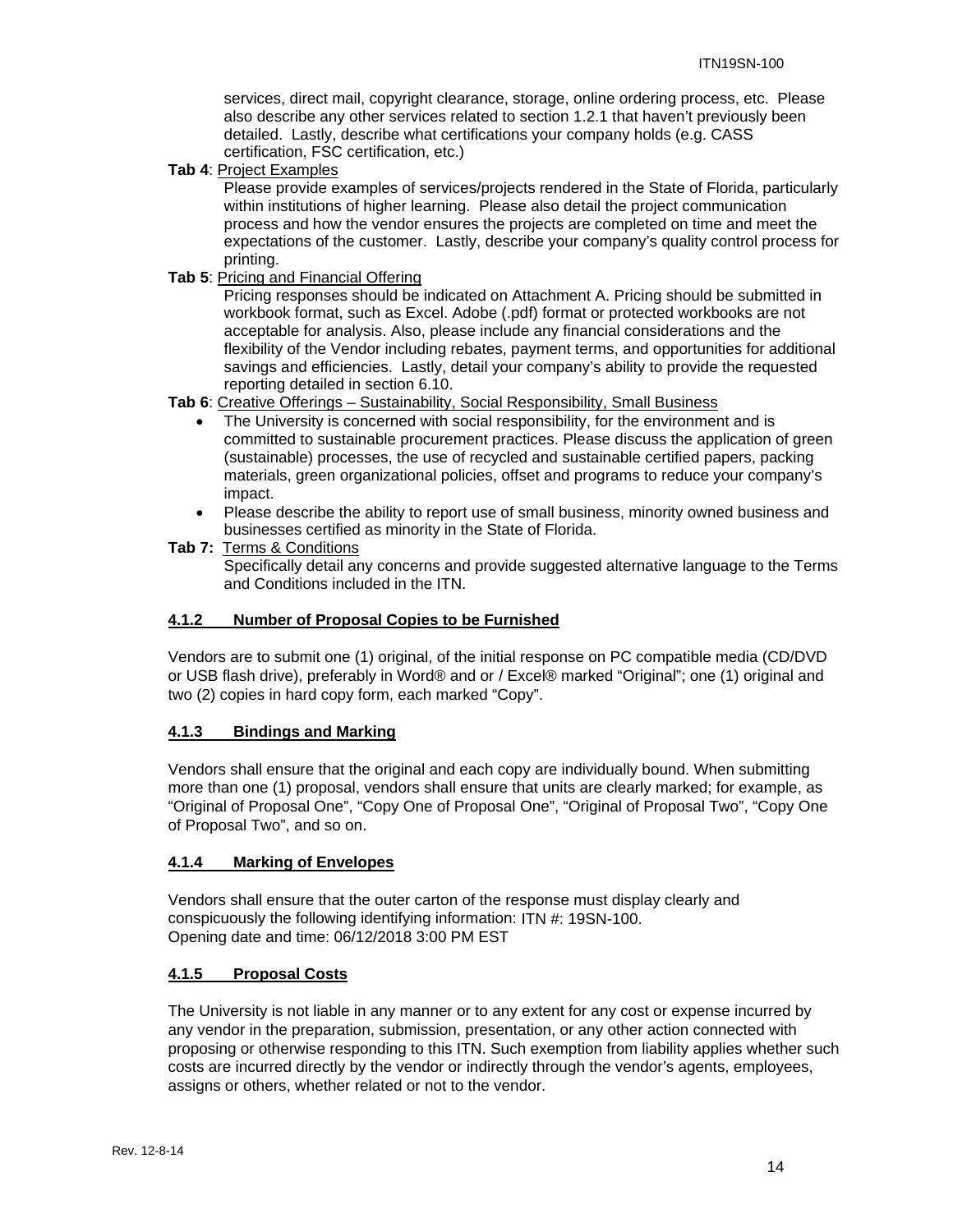services, direct mail, copyright clearance, storage, online ordering process, etc. Please also describe any other services related to section 1.2.1 that haven't previously been detailed. Lastly, describe what certifications your company holds (e.g. CASS certification, FSC certification, etc.)

**Tab 4**: Project Examples

Please provide examples of services/projects rendered in the State of Florida, particularly within institutions of higher learning. Please also detail the project communication process and how the vendor ensures the projects are completed on time and meet the expectations of the customer. Lastly, describe your company's quality control process for printing.

**Tab 5**: Pricing and Financial Offering

Pricing responses should be indicated on Attachment A. Pricing should be submitted in workbook format, such as Excel. Adobe (.pdf) format or protected workbooks are not acceptable for analysis. Also, please include any financial considerations and the flexibility of the Vendor including rebates, payment terms, and opportunities for additional savings and efficiencies. Lastly, detail your company's ability to provide the requested reporting detailed in section 6.10.

**Tab 6**: Creative Offerings – Sustainability, Social Responsibility, Small Business

- The University is concerned with social responsibility, for the environment and is committed to sustainable procurement practices. Please discuss the application of green (sustainable) processes, the use of recycled and sustainable certified papers, packing materials, green organizational policies, offset and programs to reduce your company's impact.
- Please describe the ability to report use of small business, minority owned business and businesses certified as minority in the State of Florida.
- **Tab 7:** Terms & Conditions

Specifically detail any concerns and provide suggested alternative language to the Terms and Conditions included in the ITN.

#### **4.1.2 Number of Proposal Copies to be Furnished**

Vendors are to submit one (1) original, of the initial response on PC compatible media (CD/DVD or USB flash drive), preferably in Word® and or / Excel® marked "Original"; one (1) original and two (2) copies in hard copy form, each marked "Copy".

#### **4.1.3 Bindings and Marking**

Vendors shall ensure that the original and each copy are individually bound. When submitting more than one (1) proposal, vendors shall ensure that units are clearly marked; for example, as "Original of Proposal One", "Copy One of Proposal One", "Original of Proposal Two", "Copy One of Proposal Two", and so on.

#### **4.1.4 Marking of Envelopes**

Vendors shall ensure that the outer carton of the response must display clearly and conspicuously the following identifying information: ITN #: 19SN-100. Opening date and time: 06/12/2018 3:00 PM EST

#### **4.1.5 Proposal Costs**

The University is not liable in any manner or to any extent for any cost or expense incurred by any vendor in the preparation, submission, presentation, or any other action connected with proposing or otherwise responding to this ITN. Such exemption from liability applies whether such costs are incurred directly by the vendor or indirectly through the vendor's agents, employees, assigns or others, whether related or not to the vendor.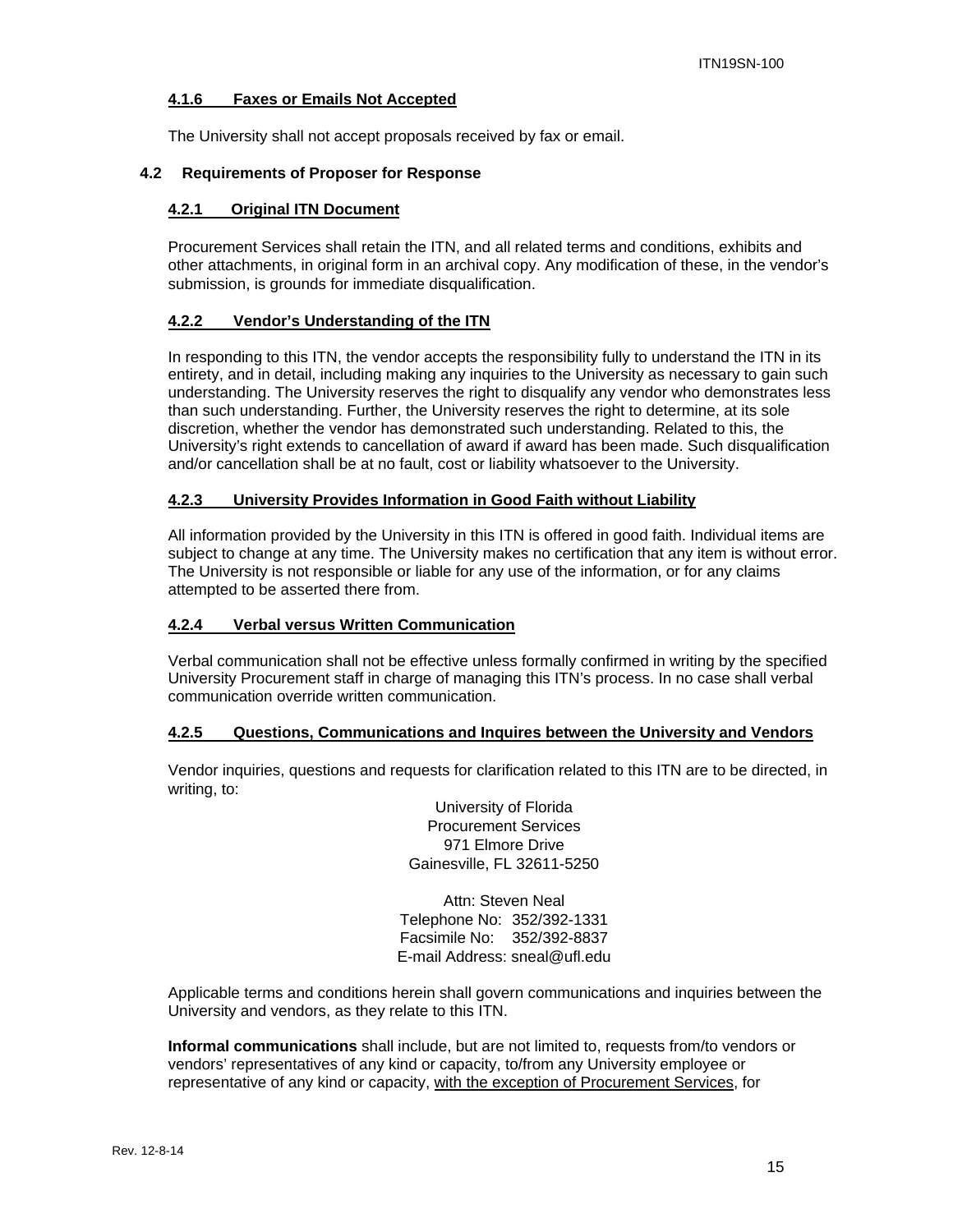#### **4.1.6 Faxes or Emails Not Accepted**

The University shall not accept proposals received by fax or email.

#### **4.2 Requirements of Proposer for Response**

#### **4.2.1 Original ITN Document**

Procurement Services shall retain the ITN, and all related terms and conditions, exhibits and other attachments, in original form in an archival copy. Any modification of these, in the vendor's submission, is grounds for immediate disqualification.

#### **4.2.2 Vendor's Understanding of the ITN**

In responding to this ITN, the vendor accepts the responsibility fully to understand the ITN in its entirety, and in detail, including making any inquiries to the University as necessary to gain such understanding. The University reserves the right to disqualify any vendor who demonstrates less than such understanding. Further, the University reserves the right to determine, at its sole discretion, whether the vendor has demonstrated such understanding. Related to this, the University's right extends to cancellation of award if award has been made. Such disqualification and/or cancellation shall be at no fault, cost or liability whatsoever to the University.

#### **4.2.3 University Provides Information in Good Faith without Liability**

All information provided by the University in this ITN is offered in good faith. Individual items are subject to change at any time. The University makes no certification that any item is without error. The University is not responsible or liable for any use of the information, or for any claims attempted to be asserted there from.

#### **4.2.4 Verbal versus Written Communication**

Verbal communication shall not be effective unless formally confirmed in writing by the specified University Procurement staff in charge of managing this ITN's process. In no case shall verbal communication override written communication.

#### **4.2.5 Questions, Communications and Inquires between the University and Vendors**

Vendor inquiries, questions and requests for clarification related to this ITN are to be directed, in writing, to:

> University of Florida Procurement Services 971 Elmore Drive Gainesville, FL 32611-5250

Attn: Steven Neal Telephone No: 352/392-1331 Facsimile No: 352/392-8837 E-mail Address: sneal@ufl.edu

Applicable terms and conditions herein shall govern communications and inquiries between the University and vendors, as they relate to this ITN.

**Informal communications** shall include, but are not limited to, requests from/to vendors or vendors' representatives of any kind or capacity, to/from any University employee or representative of any kind or capacity, with the exception of Procurement Services, for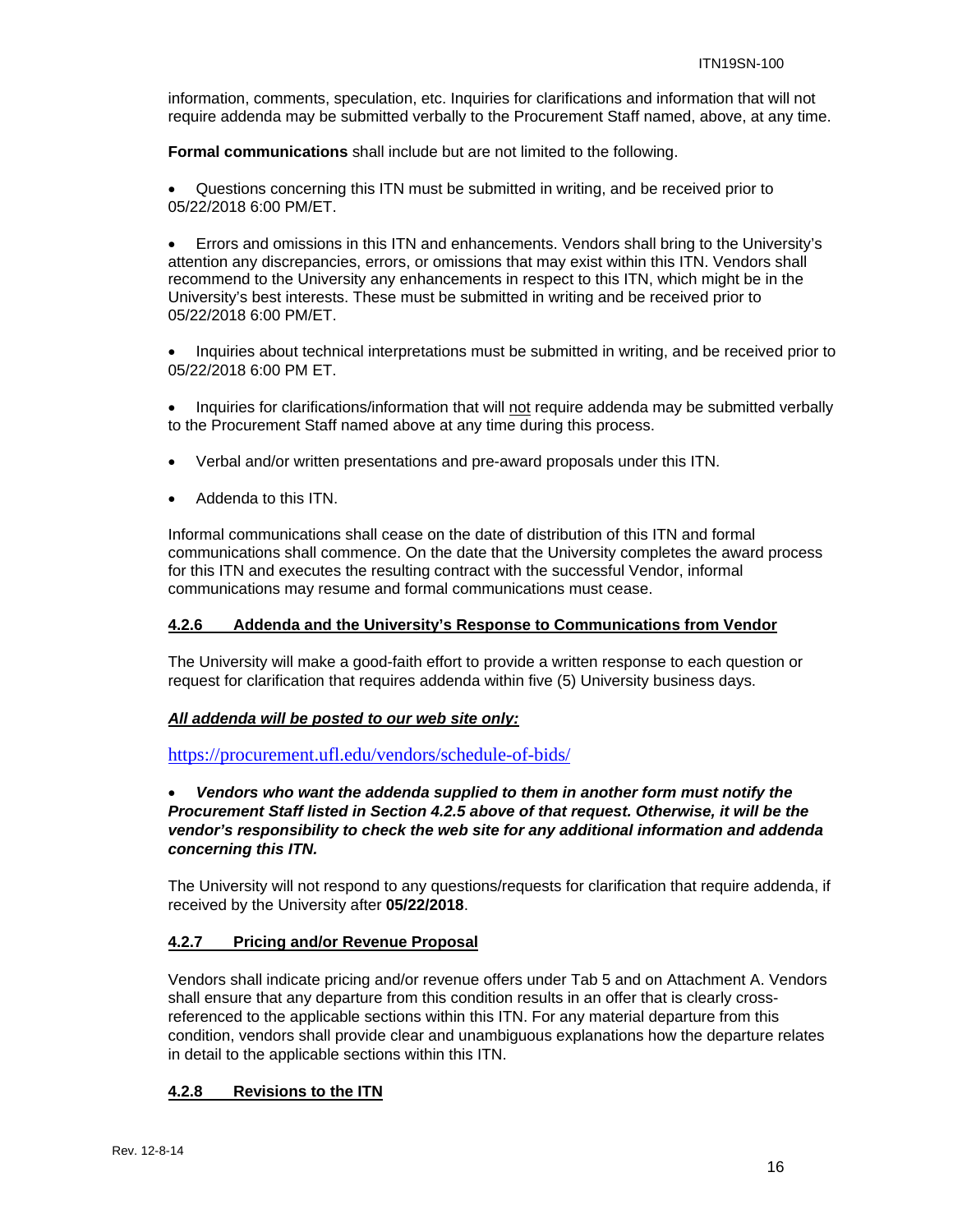information, comments, speculation, etc. Inquiries for clarifications and information that will not require addenda may be submitted verbally to the Procurement Staff named, above, at any time.

**Formal communications** shall include but are not limited to the following.

 Questions concerning this ITN must be submitted in writing, and be received prior to 05/22/2018 6:00 PM/ET.

 Errors and omissions in this ITN and enhancements. Vendors shall bring to the University's attention any discrepancies, errors, or omissions that may exist within this ITN. Vendors shall recommend to the University any enhancements in respect to this ITN, which might be in the University's best interests. These must be submitted in writing and be received prior to 05/22/2018 6:00 PM/ET.

• Inquiries about technical interpretations must be submitted in writing, and be received prior to 05/22/2018 6:00 PM ET.

• Inquiries for clarifications/information that will not require addenda may be submitted verbally to the Procurement Staff named above at any time during this process.

- Verbal and/or written presentations and pre-award proposals under this ITN.
- Addenda to this ITN.

Informal communications shall cease on the date of distribution of this ITN and formal communications shall commence. On the date that the University completes the award process for this ITN and executes the resulting contract with the successful Vendor, informal communications may resume and formal communications must cease.

#### **4.2.6 Addenda and the University's Response to Communications from Vendor**

The University will make a good-faith effort to provide a written response to each question or request for clarification that requires addenda within five (5) University business days.

#### *All addenda will be posted to our web site only:*

https://procurement.ufl.edu/vendors/schedule-of-bids/

#### *Vendors who want the addenda supplied to them in another form must notify the Procurement Staff listed in Section 4.2.5 above of that request. Otherwise, it will be the vendor's responsibility to check the web site for any additional information and addenda concerning this ITN.*

The University will not respond to any questions/requests for clarification that require addenda, if received by the University after **05/22/2018**.

#### **4.2.7 Pricing and/or Revenue Proposal**

Vendors shall indicate pricing and/or revenue offers under Tab 5 and on Attachment A. Vendors shall ensure that any departure from this condition results in an offer that is clearly crossreferenced to the applicable sections within this ITN. For any material departure from this condition, vendors shall provide clear and unambiguous explanations how the departure relates in detail to the applicable sections within this ITN.

#### **4.2.8 Revisions to the ITN**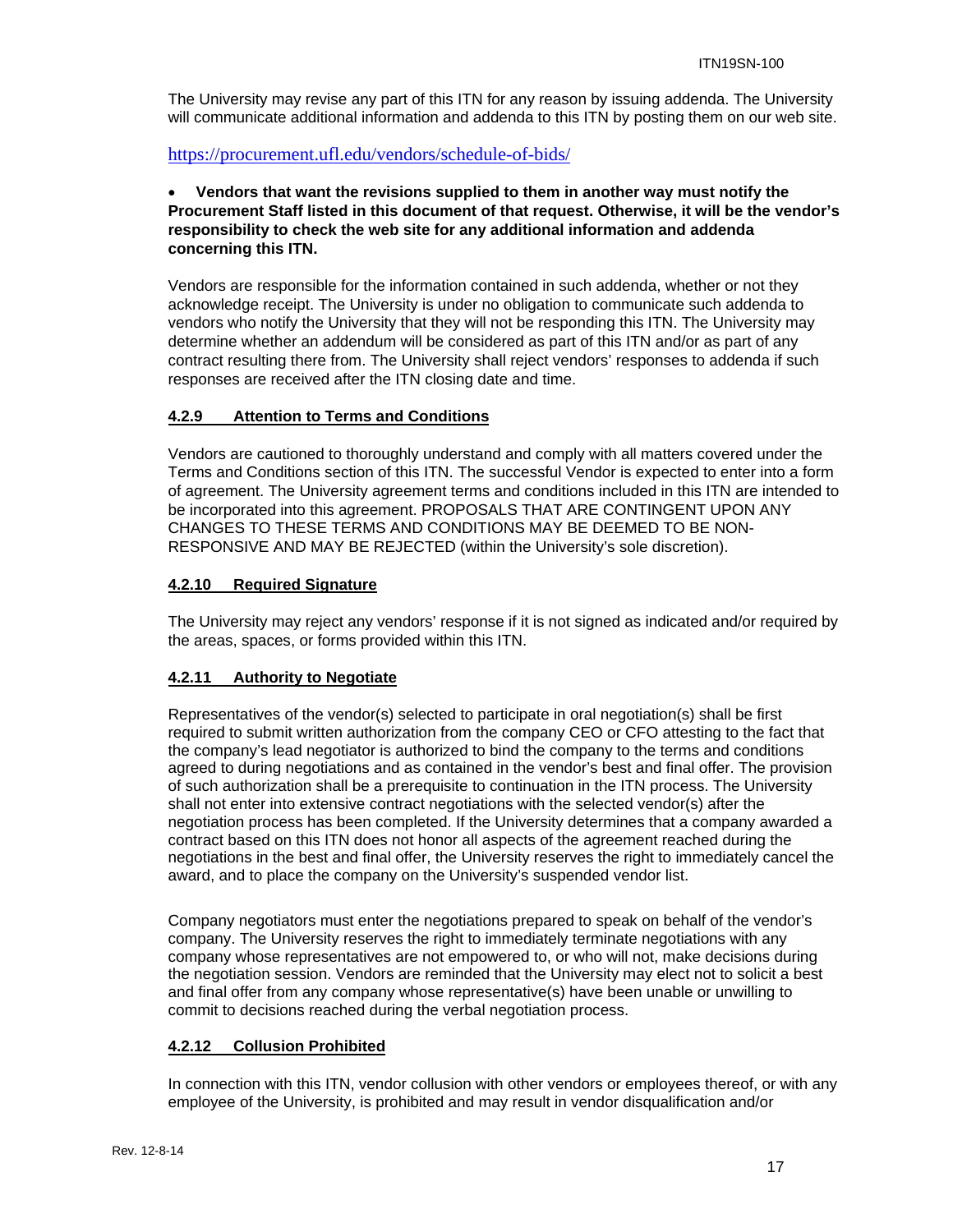The University may revise any part of this ITN for any reason by issuing addenda. The University will communicate additional information and addenda to this ITN by posting them on our web site.

https://procurement.ufl.edu/vendors/schedule-of-bids/

#### **Vendors that want the revisions supplied to them in another way must notify the Procurement Staff listed in this document of that request. Otherwise, it will be the vendor's responsibility to check the web site for any additional information and addenda concerning this ITN.**

Vendors are responsible for the information contained in such addenda, whether or not they acknowledge receipt. The University is under no obligation to communicate such addenda to vendors who notify the University that they will not be responding this ITN. The University may determine whether an addendum will be considered as part of this ITN and/or as part of any contract resulting there from. The University shall reject vendors' responses to addenda if such responses are received after the ITN closing date and time.

#### **4.2.9 Attention to Terms and Conditions**

Vendors are cautioned to thoroughly understand and comply with all matters covered under the Terms and Conditions section of this ITN. The successful Vendor is expected to enter into a form of agreement. The University agreement terms and conditions included in this ITN are intended to be incorporated into this agreement. PROPOSALS THAT ARE CONTINGENT UPON ANY CHANGES TO THESE TERMS AND CONDITIONS MAY BE DEEMED TO BE NON-RESPONSIVE AND MAY BE REJECTED (within the University's sole discretion).

#### **4.2.10 Required Signature**

The University may reject any vendors' response if it is not signed as indicated and/or required by the areas, spaces, or forms provided within this ITN.

#### **4.2.11 Authority to Negotiate**

Representatives of the vendor(s) selected to participate in oral negotiation(s) shall be first required to submit written authorization from the company CEO or CFO attesting to the fact that the company's lead negotiator is authorized to bind the company to the terms and conditions agreed to during negotiations and as contained in the vendor's best and final offer. The provision of such authorization shall be a prerequisite to continuation in the ITN process. The University shall not enter into extensive contract negotiations with the selected vendor(s) after the negotiation process has been completed. If the University determines that a company awarded a contract based on this ITN does not honor all aspects of the agreement reached during the negotiations in the best and final offer, the University reserves the right to immediately cancel the award, and to place the company on the University's suspended vendor list.

Company negotiators must enter the negotiations prepared to speak on behalf of the vendor's company. The University reserves the right to immediately terminate negotiations with any company whose representatives are not empowered to, or who will not, make decisions during the negotiation session. Vendors are reminded that the University may elect not to solicit a best and final offer from any company whose representative(s) have been unable or unwilling to commit to decisions reached during the verbal negotiation process.

#### **4.2.12 Collusion Prohibited**

In connection with this ITN, vendor collusion with other vendors or employees thereof, or with any employee of the University, is prohibited and may result in vendor disqualification and/or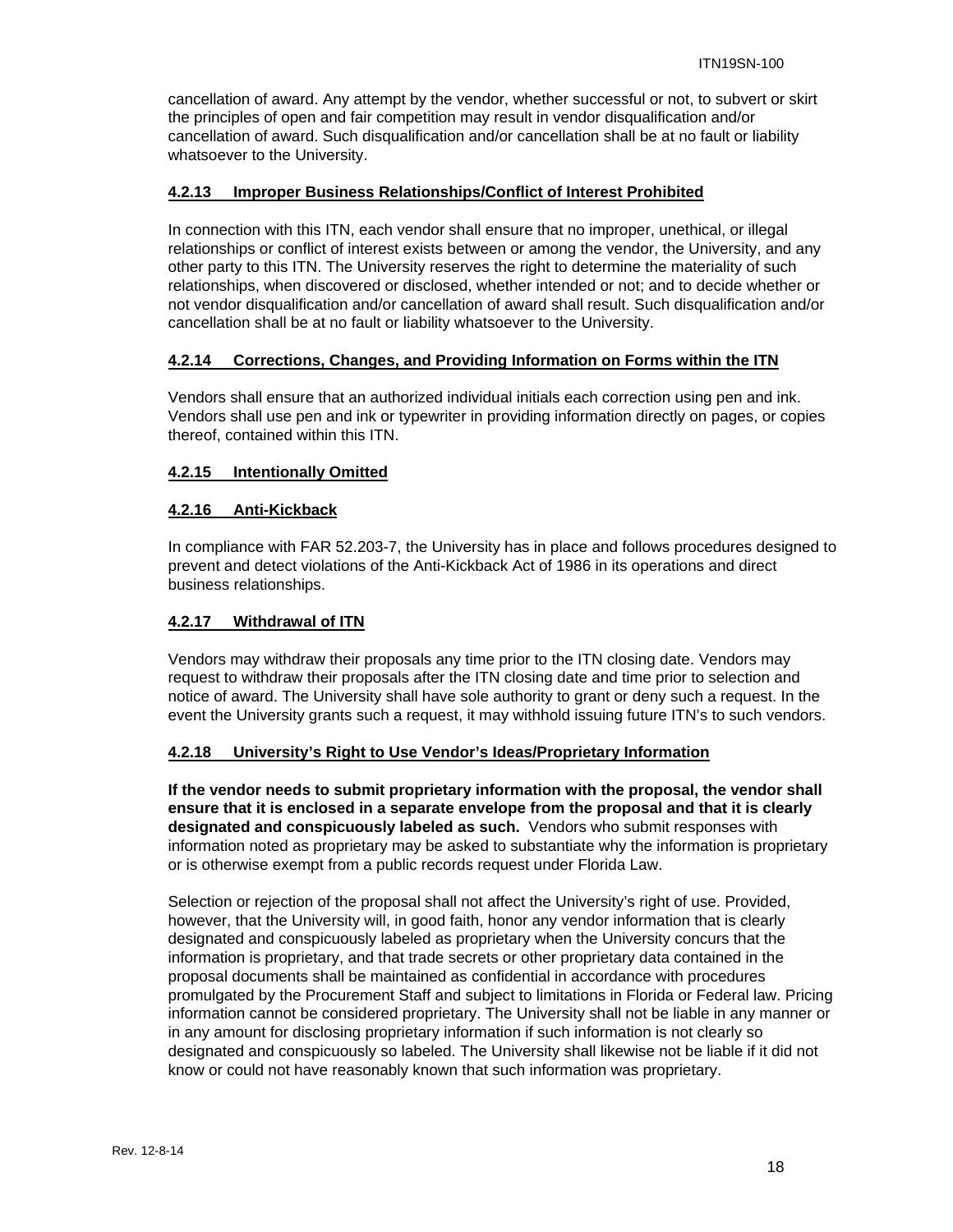cancellation of award. Any attempt by the vendor, whether successful or not, to subvert or skirt the principles of open and fair competition may result in vendor disqualification and/or cancellation of award. Such disqualification and/or cancellation shall be at no fault or liability whatsoever to the University.

#### **4.2.13 Improper Business Relationships/Conflict of Interest Prohibited**

In connection with this ITN, each vendor shall ensure that no improper, unethical, or illegal relationships or conflict of interest exists between or among the vendor, the University, and any other party to this ITN. The University reserves the right to determine the materiality of such relationships, when discovered or disclosed, whether intended or not; and to decide whether or not vendor disqualification and/or cancellation of award shall result. Such disqualification and/or cancellation shall be at no fault or liability whatsoever to the University.

#### **4.2.14 Corrections, Changes, and Providing Information on Forms within the ITN**

Vendors shall ensure that an authorized individual initials each correction using pen and ink. Vendors shall use pen and ink or typewriter in providing information directly on pages, or copies thereof, contained within this ITN.

#### **4.2.15 Intentionally Omitted**

#### **4.2.16 Anti-Kickback**

In compliance with FAR 52.203-7, the University has in place and follows procedures designed to prevent and detect violations of the Anti-Kickback Act of 1986 in its operations and direct business relationships.

#### **4.2.17 Withdrawal of ITN**

Vendors may withdraw their proposals any time prior to the ITN closing date. Vendors may request to withdraw their proposals after the ITN closing date and time prior to selection and notice of award. The University shall have sole authority to grant or deny such a request. In the event the University grants such a request, it may withhold issuing future ITN's to such vendors.

#### **4.2.18 University's Right to Use Vendor's Ideas/Proprietary Information**

**If the vendor needs to submit proprietary information with the proposal, the vendor shall ensure that it is enclosed in a separate envelope from the proposal and that it is clearly designated and conspicuously labeled as such.** Vendors who submit responses with information noted as proprietary may be asked to substantiate why the information is proprietary or is otherwise exempt from a public records request under Florida Law.

Selection or rejection of the proposal shall not affect the University's right of use. Provided, however, that the University will, in good faith, honor any vendor information that is clearly designated and conspicuously labeled as proprietary when the University concurs that the information is proprietary, and that trade secrets or other proprietary data contained in the proposal documents shall be maintained as confidential in accordance with procedures promulgated by the Procurement Staff and subject to limitations in Florida or Federal law. Pricing information cannot be considered proprietary. The University shall not be liable in any manner or in any amount for disclosing proprietary information if such information is not clearly so designated and conspicuously so labeled. The University shall likewise not be liable if it did not know or could not have reasonably known that such information was proprietary.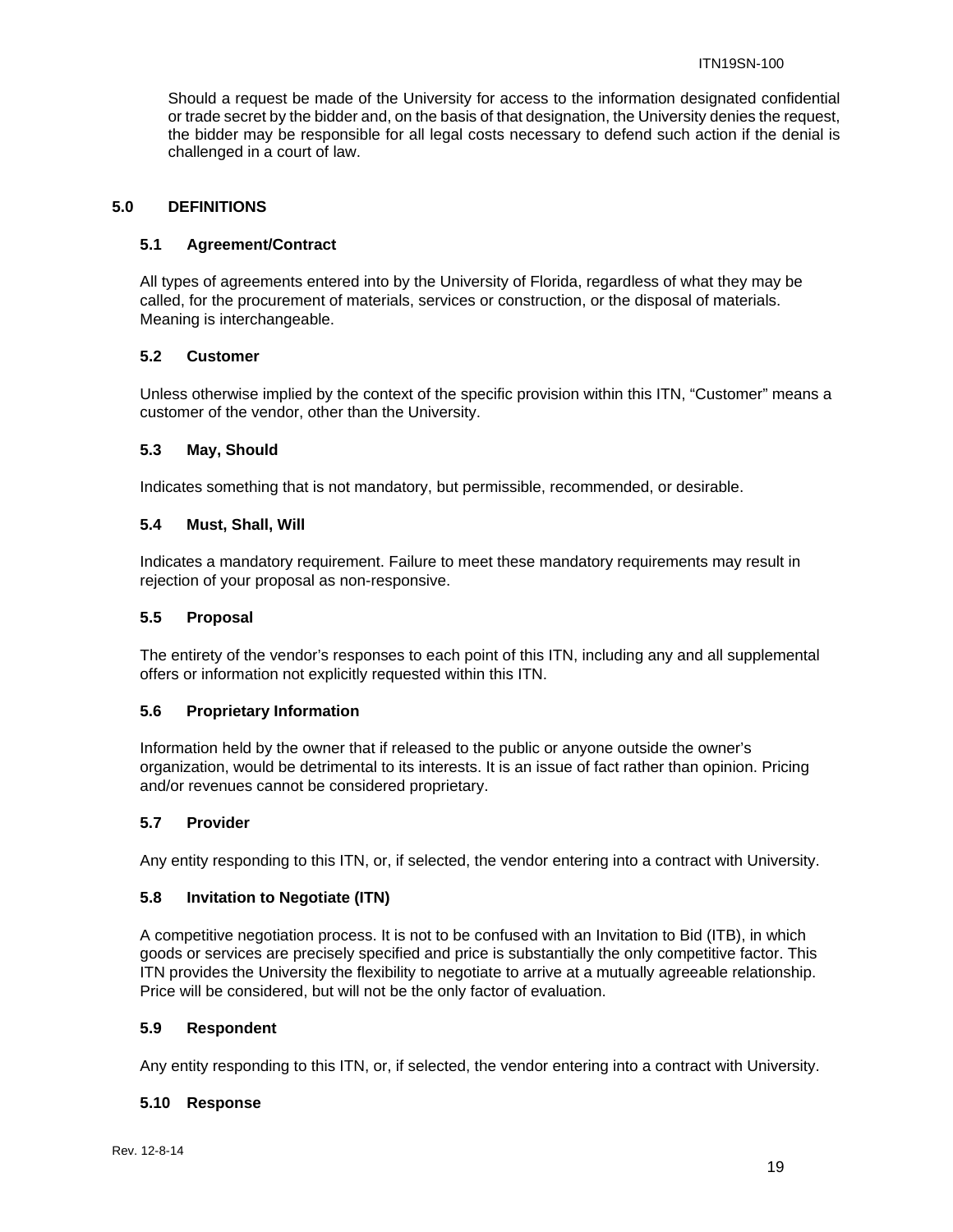Should a request be made of the University for access to the information designated confidential or trade secret by the bidder and, on the basis of that designation, the University denies the request, the bidder may be responsible for all legal costs necessary to defend such action if the denial is challenged in a court of law.

#### **5.0 DEFINITIONS**

#### **5.1 Agreement/Contract**

All types of agreements entered into by the University of Florida, regardless of what they may be called, for the procurement of materials, services or construction, or the disposal of materials. Meaning is interchangeable.

#### **5.2 Customer**

Unless otherwise implied by the context of the specific provision within this ITN, "Customer" means a customer of the vendor, other than the University.

#### **5.3 May, Should**

Indicates something that is not mandatory, but permissible, recommended, or desirable.

#### **5.4 Must, Shall, Will**

Indicates a mandatory requirement. Failure to meet these mandatory requirements may result in rejection of your proposal as non-responsive.

#### **5.5 Proposal**

The entirety of the vendor's responses to each point of this ITN, including any and all supplemental offers or information not explicitly requested within this ITN.

#### **5.6 Proprietary Information**

Information held by the owner that if released to the public or anyone outside the owner's organization, would be detrimental to its interests. It is an issue of fact rather than opinion. Pricing and/or revenues cannot be considered proprietary.

#### **5.7 Provider**

Any entity responding to this ITN, or, if selected, the vendor entering into a contract with University.

#### **5.8 Invitation to Negotiate (ITN)**

A competitive negotiation process. It is not to be confused with an Invitation to Bid (ITB), in which goods or services are precisely specified and price is substantially the only competitive factor. This ITN provides the University the flexibility to negotiate to arrive at a mutually agreeable relationship. Price will be considered, but will not be the only factor of evaluation.

#### **5.9 Respondent**

Any entity responding to this ITN, or, if selected, the vendor entering into a contract with University.

#### **5.10 Response**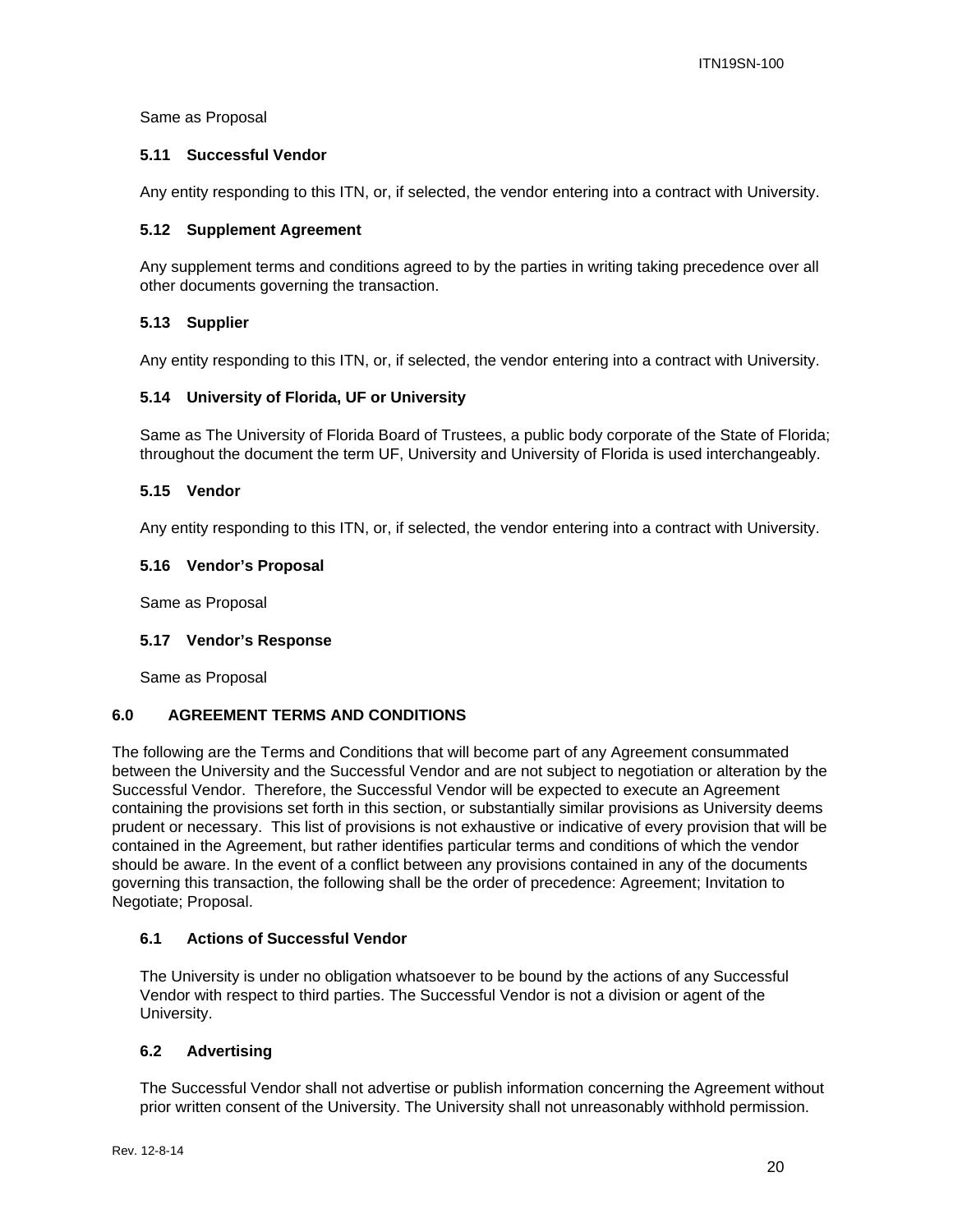#### Same as Proposal

#### **5.11 Successful Vendor**

Any entity responding to this ITN, or, if selected, the vendor entering into a contract with University.

#### **5.12 Supplement Agreement**

Any supplement terms and conditions agreed to by the parties in writing taking precedence over all other documents governing the transaction.

#### **5.13 Supplier**

Any entity responding to this ITN, or, if selected, the vendor entering into a contract with University.

#### **5.14 University of Florida, UF or University**

Same as The University of Florida Board of Trustees, a public body corporate of the State of Florida; throughout the document the term UF, University and University of Florida is used interchangeably.

#### **5.15 Vendor**

Any entity responding to this ITN, or, if selected, the vendor entering into a contract with University.

#### **5.16 Vendor's Proposal**

Same as Proposal

#### **5.17 Vendor's Response**

Same as Proposal

#### **6.0 AGREEMENT TERMS AND CONDITIONS**

The following are the Terms and Conditions that will become part of any Agreement consummated between the University and the Successful Vendor and are not subject to negotiation or alteration by the Successful Vendor. Therefore, the Successful Vendor will be expected to execute an Agreement containing the provisions set forth in this section, or substantially similar provisions as University deems prudent or necessary. This list of provisions is not exhaustive or indicative of every provision that will be contained in the Agreement, but rather identifies particular terms and conditions of which the vendor should be aware. In the event of a conflict between any provisions contained in any of the documents governing this transaction, the following shall be the order of precedence: Agreement; Invitation to Negotiate; Proposal.

#### **6.1 Actions of Successful Vendor**

The University is under no obligation whatsoever to be bound by the actions of any Successful Vendor with respect to third parties. The Successful Vendor is not a division or agent of the University.

#### **6.2 Advertising**

The Successful Vendor shall not advertise or publish information concerning the Agreement without prior written consent of the University. The University shall not unreasonably withhold permission.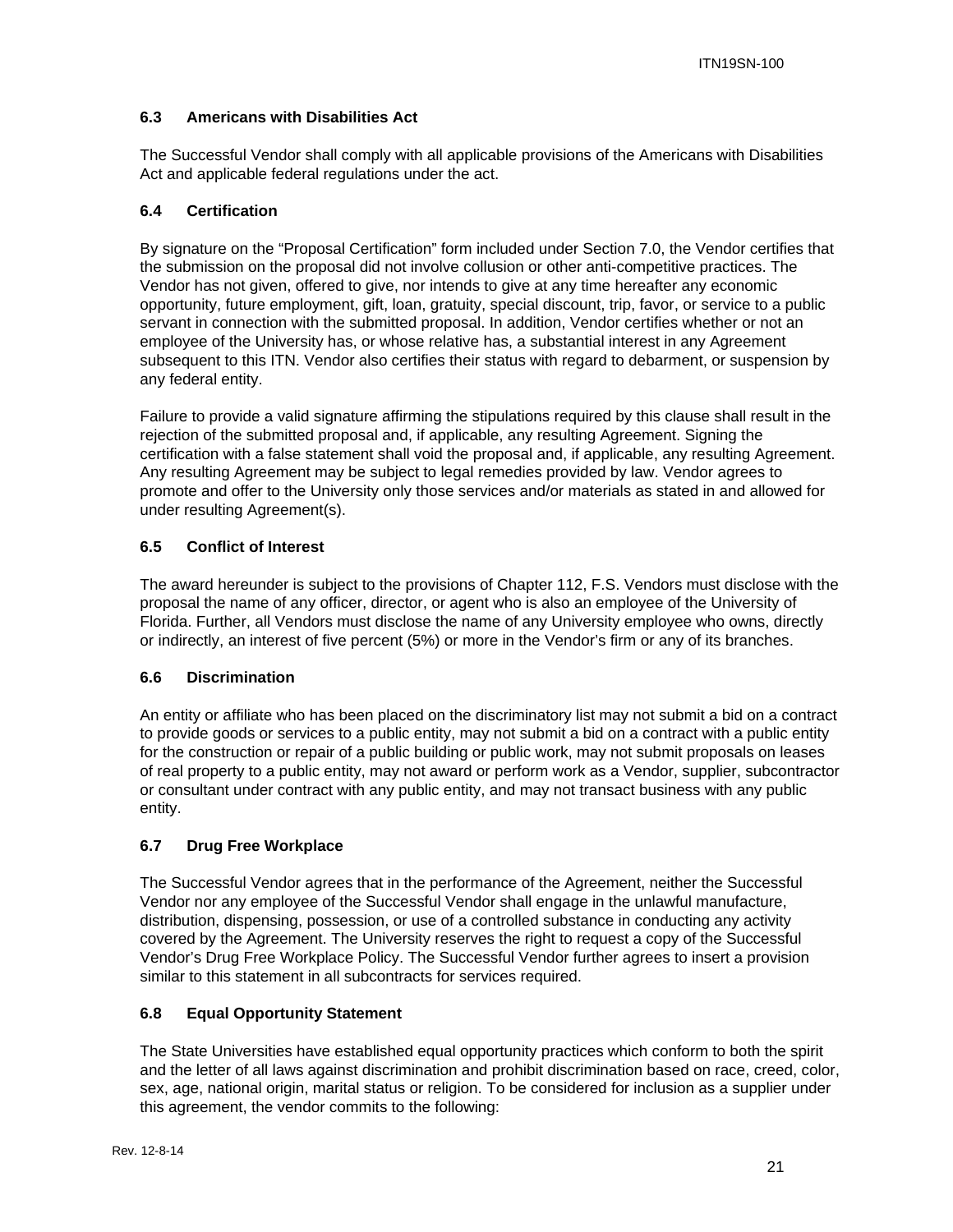#### **6.3 Americans with Disabilities Act**

The Successful Vendor shall comply with all applicable provisions of the Americans with Disabilities Act and applicable federal regulations under the act.

#### **6.4 Certification**

By signature on the "Proposal Certification" form included under Section 7.0, the Vendor certifies that the submission on the proposal did not involve collusion or other anti-competitive practices. The Vendor has not given, offered to give, nor intends to give at any time hereafter any economic opportunity, future employment, gift, loan, gratuity, special discount, trip, favor, or service to a public servant in connection with the submitted proposal. In addition, Vendor certifies whether or not an employee of the University has, or whose relative has, a substantial interest in any Agreement subsequent to this ITN. Vendor also certifies their status with regard to debarment, or suspension by any federal entity.

Failure to provide a valid signature affirming the stipulations required by this clause shall result in the rejection of the submitted proposal and, if applicable, any resulting Agreement. Signing the certification with a false statement shall void the proposal and, if applicable, any resulting Agreement. Any resulting Agreement may be subject to legal remedies provided by law. Vendor agrees to promote and offer to the University only those services and/or materials as stated in and allowed for under resulting Agreement(s).

#### **6.5 Conflict of Interest**

The award hereunder is subject to the provisions of Chapter 112, F.S. Vendors must disclose with the proposal the name of any officer, director, or agent who is also an employee of the University of Florida. Further, all Vendors must disclose the name of any University employee who owns, directly or indirectly, an interest of five percent (5%) or more in the Vendor's firm or any of its branches.

#### **6.6 Discrimination**

An entity or affiliate who has been placed on the discriminatory list may not submit a bid on a contract to provide goods or services to a public entity, may not submit a bid on a contract with a public entity for the construction or repair of a public building or public work, may not submit proposals on leases of real property to a public entity, may not award or perform work as a Vendor, supplier, subcontractor or consultant under contract with any public entity, and may not transact business with any public entity.

#### **6.7 Drug Free Workplace**

The Successful Vendor agrees that in the performance of the Agreement, neither the Successful Vendor nor any employee of the Successful Vendor shall engage in the unlawful manufacture, distribution, dispensing, possession, or use of a controlled substance in conducting any activity covered by the Agreement. The University reserves the right to request a copy of the Successful Vendor's Drug Free Workplace Policy. The Successful Vendor further agrees to insert a provision similar to this statement in all subcontracts for services required.

#### **6.8 Equal Opportunity Statement**

The State Universities have established equal opportunity practices which conform to both the spirit and the letter of all laws against discrimination and prohibit discrimination based on race, creed, color, sex, age, national origin, marital status or religion. To be considered for inclusion as a supplier under this agreement, the vendor commits to the following: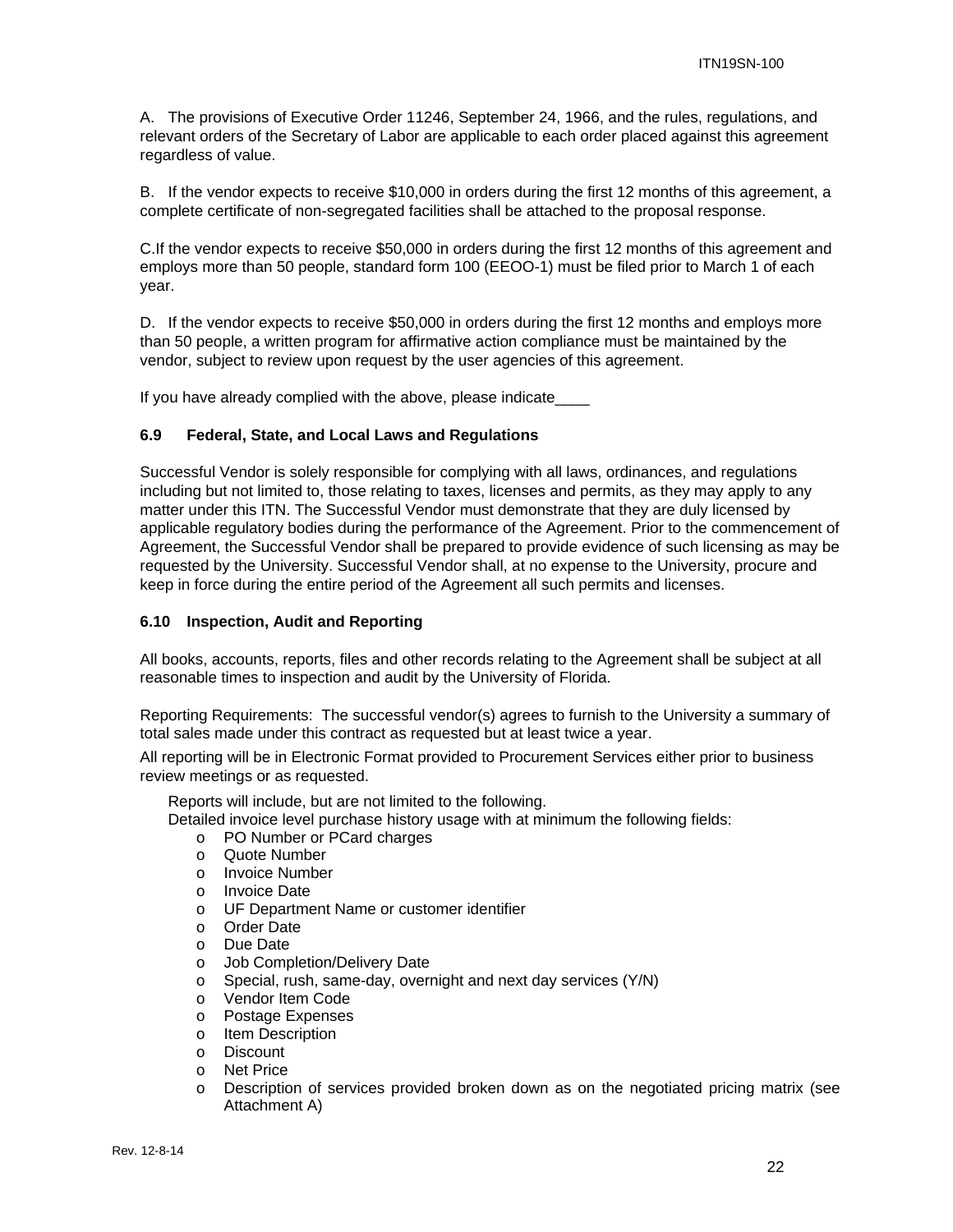A. The provisions of Executive Order 11246, September 24, 1966, and the rules, regulations, and relevant orders of the Secretary of Labor are applicable to each order placed against this agreement regardless of value.

B. If the vendor expects to receive \$10,000 in orders during the first 12 months of this agreement, a complete certificate of non-segregated facilities shall be attached to the proposal response.

C.If the vendor expects to receive \$50,000 in orders during the first 12 months of this agreement and employs more than 50 people, standard form 100 (EEOO-1) must be filed prior to March 1 of each year.

D. If the vendor expects to receive \$50,000 in orders during the first 12 months and employs more than 50 people, a written program for affirmative action compliance must be maintained by the vendor, subject to review upon request by the user agencies of this agreement.

If you have already complied with the above, please indicate\_\_\_\_

#### **6.9 Federal, State, and Local Laws and Regulations**

Successful Vendor is solely responsible for complying with all laws, ordinances, and regulations including but not limited to, those relating to taxes, licenses and permits, as they may apply to any matter under this ITN. The Successful Vendor must demonstrate that they are duly licensed by applicable regulatory bodies during the performance of the Agreement. Prior to the commencement of Agreement, the Successful Vendor shall be prepared to provide evidence of such licensing as may be requested by the University. Successful Vendor shall, at no expense to the University, procure and keep in force during the entire period of the Agreement all such permits and licenses.

#### **6.10 Inspection, Audit and Reporting**

All books, accounts, reports, files and other records relating to the Agreement shall be subject at all reasonable times to inspection and audit by the University of Florida.

Reporting Requirements: The successful vendor(s) agrees to furnish to the University a summary of total sales made under this contract as requested but at least twice a year.

All reporting will be in Electronic Format provided to Procurement Services either prior to business review meetings or as requested.

Reports will include, but are not limited to the following.

Detailed invoice level purchase history usage with at minimum the following fields:

- o PO Number or PCard charges
- o Quote Number
- o Invoice Number
- o Invoice Date
- o UF Department Name or customer identifier
- o Order Date
- o Due Date
- o Job Completion/Delivery Date
- o Special, rush, same-day, overnight and next day services (Y/N)
- o Vendor Item Code
- o Postage Expenses
- o Item Description
- o Discount
- o Net Price
- o Description of services provided broken down as on the negotiated pricing matrix (see Attachment A)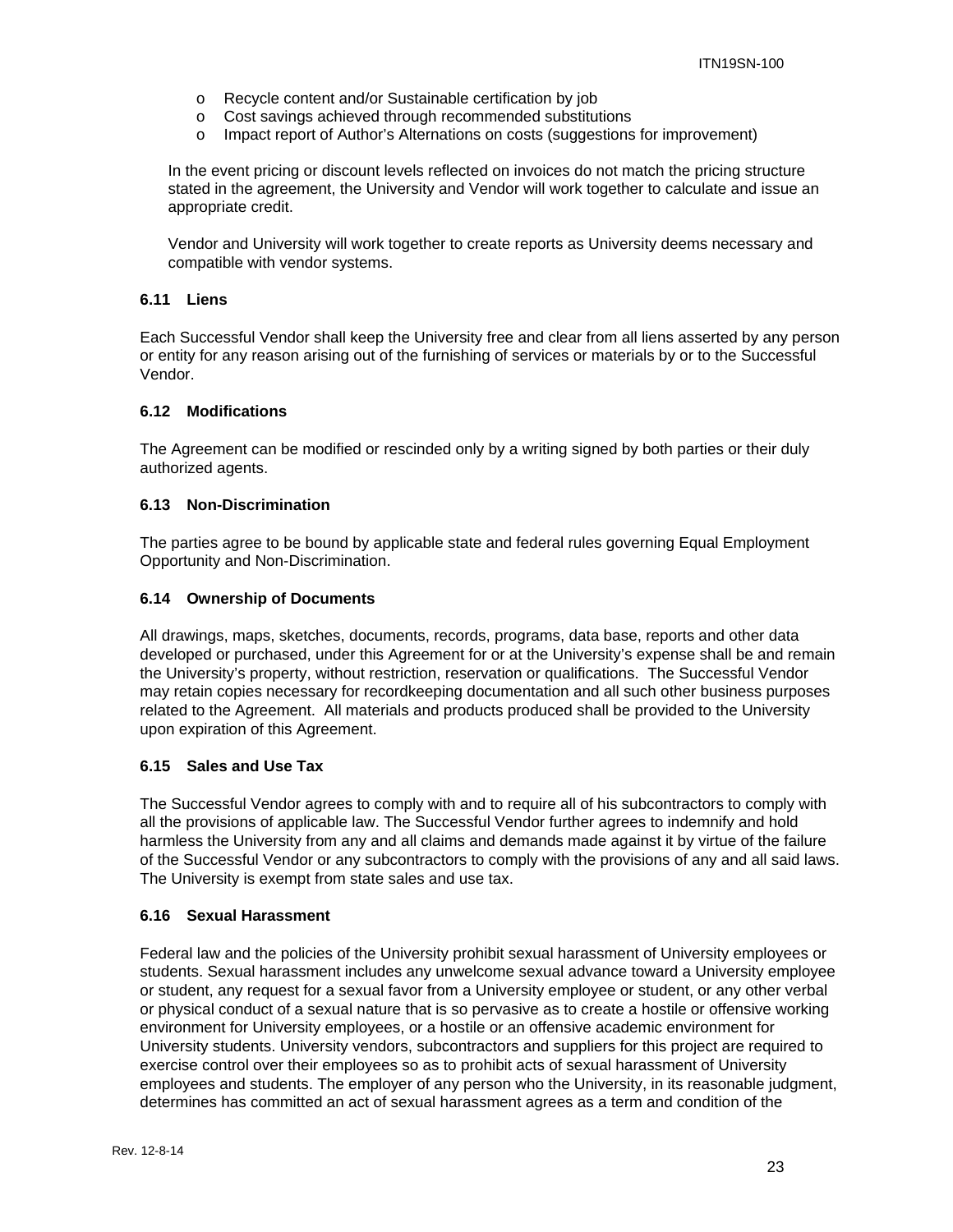- o Recycle content and/or Sustainable certification by job
- o Cost savings achieved through recommended substitutions
- o Impact report of Author's Alternations on costs (suggestions for improvement)

In the event pricing or discount levels reflected on invoices do not match the pricing structure stated in the agreement, the University and Vendor will work together to calculate and issue an appropriate credit.

Vendor and University will work together to create reports as University deems necessary and compatible with vendor systems.

#### **6.11 Liens**

Each Successful Vendor shall keep the University free and clear from all liens asserted by any person or entity for any reason arising out of the furnishing of services or materials by or to the Successful Vendor.

#### **6.12 Modifications**

The Agreement can be modified or rescinded only by a writing signed by both parties or their duly authorized agents.

#### **6.13 Non-Discrimination**

The parties agree to be bound by applicable state and federal rules governing Equal Employment Opportunity and Non-Discrimination.

#### **6.14 Ownership of Documents**

All drawings, maps, sketches, documents, records, programs, data base, reports and other data developed or purchased, under this Agreement for or at the University's expense shall be and remain the University's property, without restriction, reservation or qualifications. The Successful Vendor may retain copies necessary for recordkeeping documentation and all such other business purposes related to the Agreement. All materials and products produced shall be provided to the University upon expiration of this Agreement.

#### **6.15 Sales and Use Tax**

The Successful Vendor agrees to comply with and to require all of his subcontractors to comply with all the provisions of applicable law. The Successful Vendor further agrees to indemnify and hold harmless the University from any and all claims and demands made against it by virtue of the failure of the Successful Vendor or any subcontractors to comply with the provisions of any and all said laws. The University is exempt from state sales and use tax.

#### **6.16 Sexual Harassment**

Federal law and the policies of the University prohibit sexual harassment of University employees or students. Sexual harassment includes any unwelcome sexual advance toward a University employee or student, any request for a sexual favor from a University employee or student, or any other verbal or physical conduct of a sexual nature that is so pervasive as to create a hostile or offensive working environment for University employees, or a hostile or an offensive academic environment for University students. University vendors, subcontractors and suppliers for this project are required to exercise control over their employees so as to prohibit acts of sexual harassment of University employees and students. The employer of any person who the University, in its reasonable judgment, determines has committed an act of sexual harassment agrees as a term and condition of the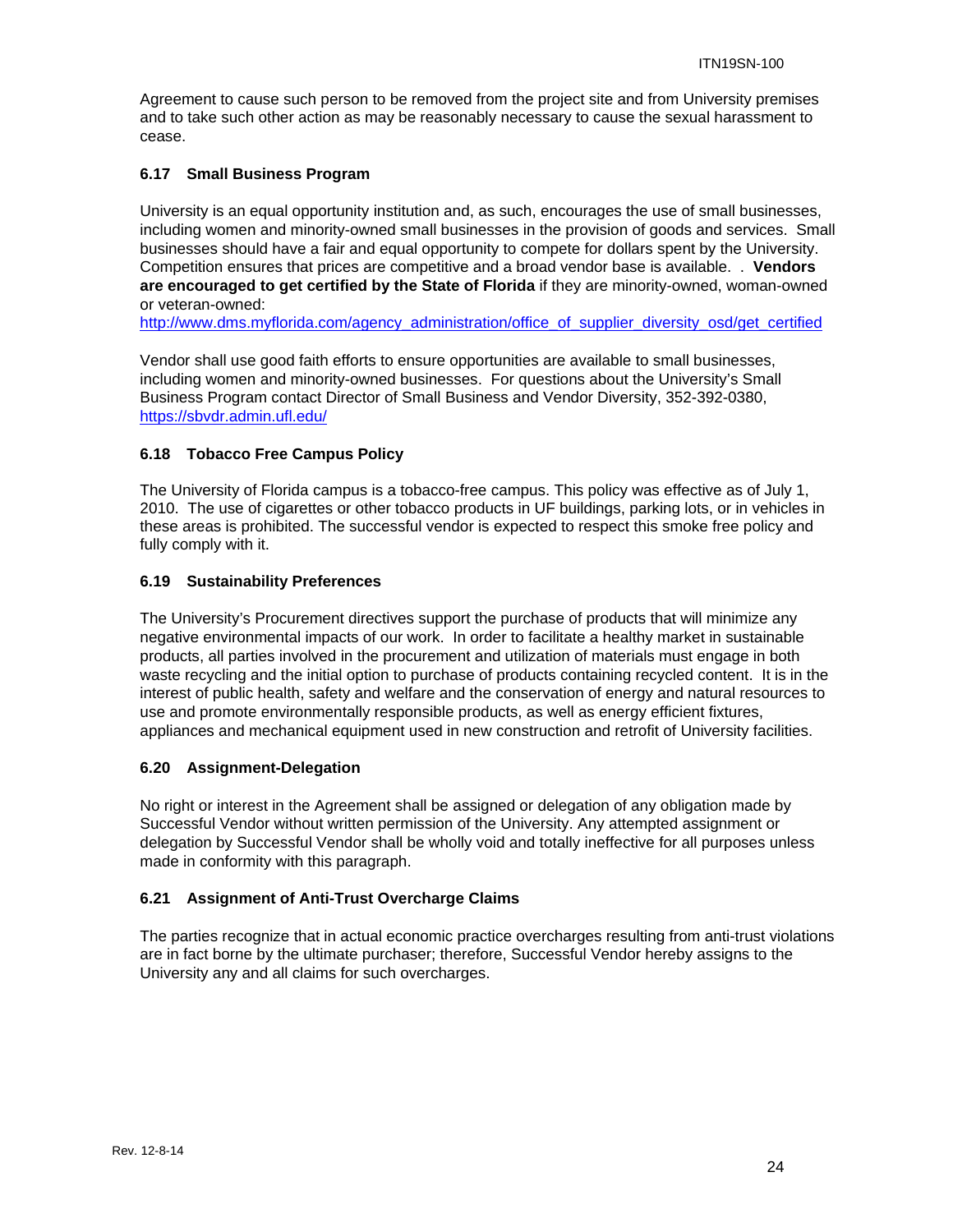Agreement to cause such person to be removed from the project site and from University premises and to take such other action as may be reasonably necessary to cause the sexual harassment to cease.

#### **6.17 Small Business Program**

University is an equal opportunity institution and, as such, encourages the use of small businesses, including women and minority-owned small businesses in the provision of goods and services. Small businesses should have a fair and equal opportunity to compete for dollars spent by the University. Competition ensures that prices are competitive and a broad vendor base is available. . **Vendors are encouraged to get certified by the State of Florida** if they are minority-owned, woman-owned or veteran-owned:

http://www.dms.myflorida.com/agency\_administration/office\_of\_supplier\_diversity\_osd/get\_certified

Vendor shall use good faith efforts to ensure opportunities are available to small businesses, including women and minority-owned businesses. For questions about the University's Small Business Program contact Director of Small Business and Vendor Diversity, 352-392-0380, https://sbvdr.admin.ufl.edu/

#### **6.18 Tobacco Free Campus Policy**

The University of Florida campus is a tobacco-free campus. This policy was effective as of July 1, 2010. The use of cigarettes or other tobacco products in UF buildings, parking lots, or in vehicles in these areas is prohibited. The successful vendor is expected to respect this smoke free policy and fully comply with it.

#### **6.19 Sustainability Preferences**

The University's Procurement directives support the purchase of products that will minimize any negative environmental impacts of our work. In order to facilitate a healthy market in sustainable products, all parties involved in the procurement and utilization of materials must engage in both waste recycling and the initial option to purchase of products containing recycled content. It is in the interest of public health, safety and welfare and the conservation of energy and natural resources to use and promote environmentally responsible products, as well as energy efficient fixtures, appliances and mechanical equipment used in new construction and retrofit of University facilities.

#### **6.20 Assignment-Delegation**

No right or interest in the Agreement shall be assigned or delegation of any obligation made by Successful Vendor without written permission of the University. Any attempted assignment or delegation by Successful Vendor shall be wholly void and totally ineffective for all purposes unless made in conformity with this paragraph.

#### **6.21 Assignment of Anti-Trust Overcharge Claims**

The parties recognize that in actual economic practice overcharges resulting from anti-trust violations are in fact borne by the ultimate purchaser; therefore, Successful Vendor hereby assigns to the University any and all claims for such overcharges.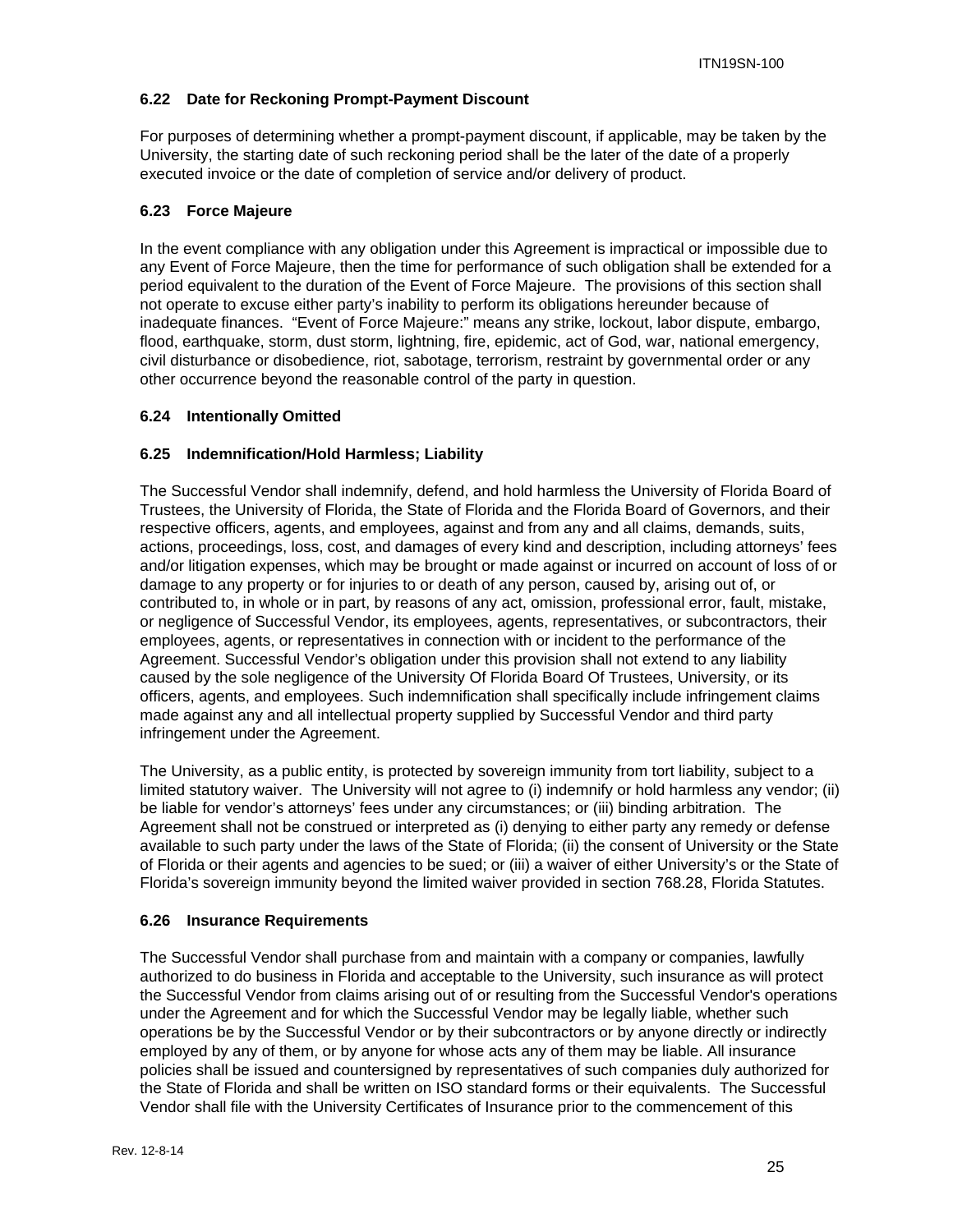#### **6.22 Date for Reckoning Prompt-Payment Discount**

For purposes of determining whether a prompt-payment discount, if applicable, may be taken by the University, the starting date of such reckoning period shall be the later of the date of a properly executed invoice or the date of completion of service and/or delivery of product.

#### **6.23 Force Majeure**

In the event compliance with any obligation under this Agreement is impractical or impossible due to any Event of Force Majeure, then the time for performance of such obligation shall be extended for a period equivalent to the duration of the Event of Force Majeure. The provisions of this section shall not operate to excuse either party's inability to perform its obligations hereunder because of inadequate finances. "Event of Force Majeure:" means any strike, lockout, labor dispute, embargo, flood, earthquake, storm, dust storm, lightning, fire, epidemic, act of God, war, national emergency, civil disturbance or disobedience, riot, sabotage, terrorism, restraint by governmental order or any other occurrence beyond the reasonable control of the party in question.

#### **6.24 Intentionally Omitted**

#### **6.25 Indemnification/Hold Harmless; Liability**

The Successful Vendor shall indemnify, defend, and hold harmless the University of Florida Board of Trustees, the University of Florida, the State of Florida and the Florida Board of Governors, and their respective officers, agents, and employees, against and from any and all claims, demands, suits, actions, proceedings, loss, cost, and damages of every kind and description, including attorneys' fees and/or litigation expenses, which may be brought or made against or incurred on account of loss of or damage to any property or for injuries to or death of any person, caused by, arising out of, or contributed to, in whole or in part, by reasons of any act, omission, professional error, fault, mistake, or negligence of Successful Vendor, its employees, agents, representatives, or subcontractors, their employees, agents, or representatives in connection with or incident to the performance of the Agreement. Successful Vendor's obligation under this provision shall not extend to any liability caused by the sole negligence of the University Of Florida Board Of Trustees, University, or its officers, agents, and employees. Such indemnification shall specifically include infringement claims made against any and all intellectual property supplied by Successful Vendor and third party infringement under the Agreement.

The University, as a public entity, is protected by sovereign immunity from tort liability, subject to a limited statutory waiver. The University will not agree to (i) indemnify or hold harmless any vendor; (ii) be liable for vendor's attorneys' fees under any circumstances; or (iii) binding arbitration. The Agreement shall not be construed or interpreted as (i) denying to either party any remedy or defense available to such party under the laws of the State of Florida; (ii) the consent of University or the State of Florida or their agents and agencies to be sued; or (iii) a waiver of either University's or the State of Florida's sovereign immunity beyond the limited waiver provided in section 768.28, Florida Statutes.

#### **6.26 Insurance Requirements**

The Successful Vendor shall purchase from and maintain with a company or companies, lawfully authorized to do business in Florida and acceptable to the University, such insurance as will protect the Successful Vendor from claims arising out of or resulting from the Successful Vendor's operations under the Agreement and for which the Successful Vendor may be legally liable, whether such operations be by the Successful Vendor or by their subcontractors or by anyone directly or indirectly employed by any of them, or by anyone for whose acts any of them may be liable. All insurance policies shall be issued and countersigned by representatives of such companies duly authorized for the State of Florida and shall be written on ISO standard forms or their equivalents. The Successful Vendor shall file with the University Certificates of Insurance prior to the commencement of this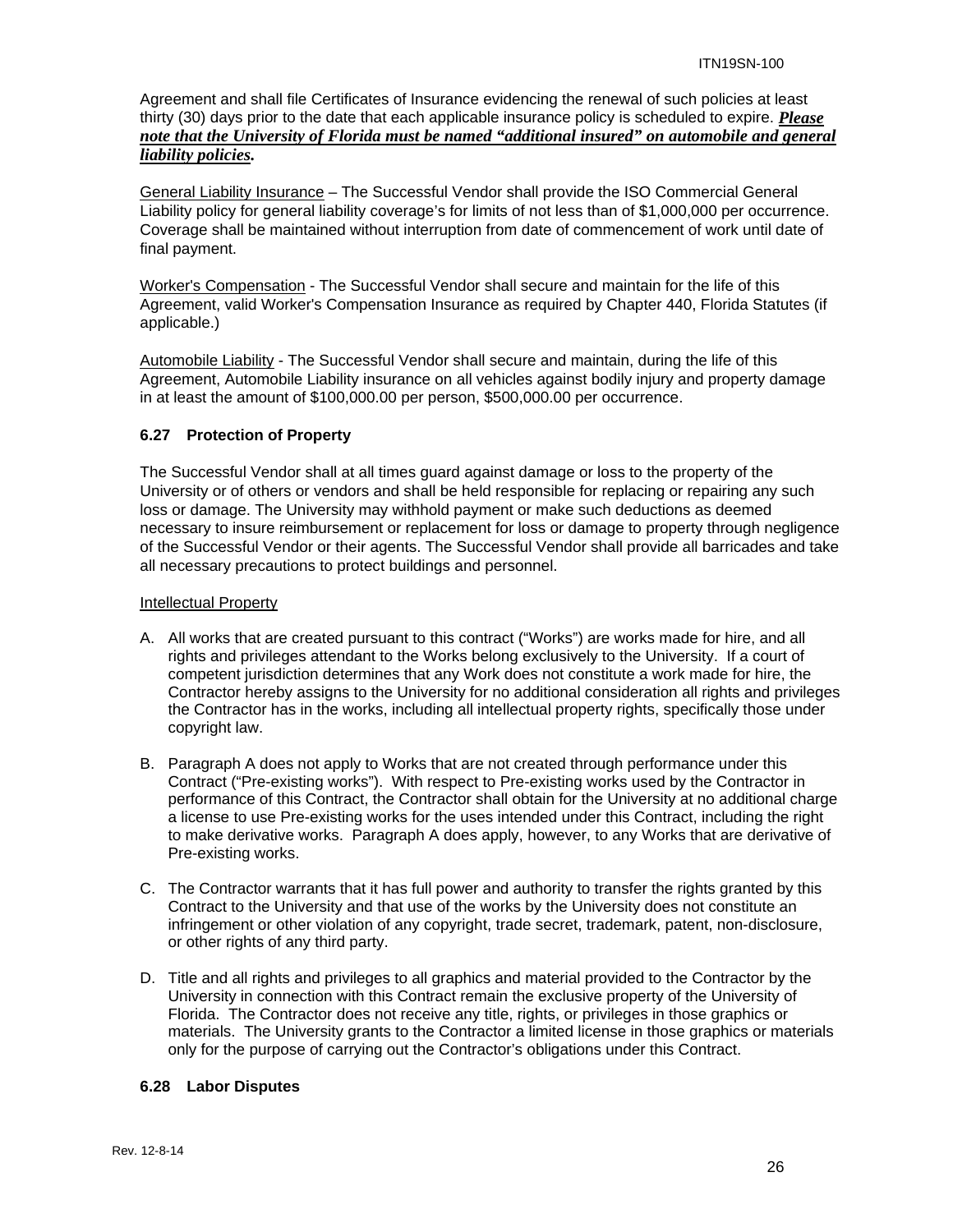Agreement and shall file Certificates of Insurance evidencing the renewal of such policies at least thirty (30) days prior to the date that each applicable insurance policy is scheduled to expire. *Please note that the University of Florida must be named "additional insured" on automobile and general liability policies.*

General Liability Insurance – The Successful Vendor shall provide the ISO Commercial General Liability policy for general liability coverage's for limits of not less than of \$1,000,000 per occurrence. Coverage shall be maintained without interruption from date of commencement of work until date of final payment.

Worker's Compensation - The Successful Vendor shall secure and maintain for the life of this Agreement, valid Worker's Compensation Insurance as required by Chapter 440, Florida Statutes (if applicable.)

Automobile Liability - The Successful Vendor shall secure and maintain, during the life of this Agreement, Automobile Liability insurance on all vehicles against bodily injury and property damage in at least the amount of \$100,000.00 per person, \$500,000.00 per occurrence.

#### **6.27 Protection of Property**

The Successful Vendor shall at all times guard against damage or loss to the property of the University or of others or vendors and shall be held responsible for replacing or repairing any such loss or damage. The University may withhold payment or make such deductions as deemed necessary to insure reimbursement or replacement for loss or damage to property through negligence of the Successful Vendor or their agents. The Successful Vendor shall provide all barricades and take all necessary precautions to protect buildings and personnel.

#### Intellectual Property

- A. All works that are created pursuant to this contract ("Works") are works made for hire, and all rights and privileges attendant to the Works belong exclusively to the University. If a court of competent jurisdiction determines that any Work does not constitute a work made for hire, the Contractor hereby assigns to the University for no additional consideration all rights and privileges the Contractor has in the works, including all intellectual property rights, specifically those under copyright law.
- B. Paragraph A does not apply to Works that are not created through performance under this Contract ("Pre-existing works"). With respect to Pre-existing works used by the Contractor in performance of this Contract, the Contractor shall obtain for the University at no additional charge a license to use Pre-existing works for the uses intended under this Contract, including the right to make derivative works. Paragraph A does apply, however, to any Works that are derivative of Pre-existing works.
- C. The Contractor warrants that it has full power and authority to transfer the rights granted by this Contract to the University and that use of the works by the University does not constitute an infringement or other violation of any copyright, trade secret, trademark, patent, non-disclosure, or other rights of any third party.
- D. Title and all rights and privileges to all graphics and material provided to the Contractor by the University in connection with this Contract remain the exclusive property of the University of Florida. The Contractor does not receive any title, rights, or privileges in those graphics or materials. The University grants to the Contractor a limited license in those graphics or materials only for the purpose of carrying out the Contractor's obligations under this Contract.

#### **6.28 Labor Disputes**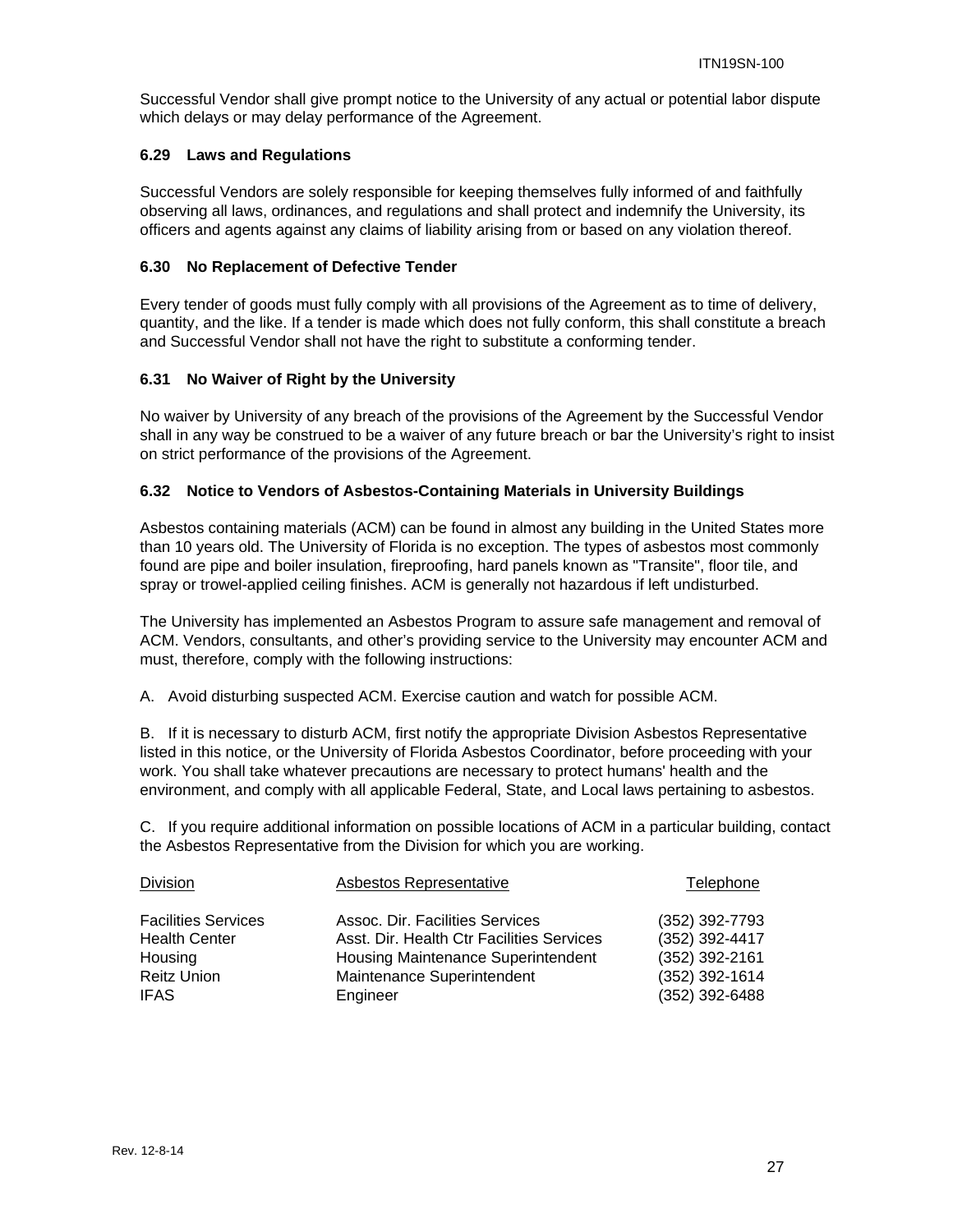Successful Vendor shall give prompt notice to the University of any actual or potential labor dispute which delays or may delay performance of the Agreement.

#### **6.29 Laws and Regulations**

Successful Vendors are solely responsible for keeping themselves fully informed of and faithfully observing all laws, ordinances, and regulations and shall protect and indemnify the University, its officers and agents against any claims of liability arising from or based on any violation thereof.

#### **6.30 No Replacement of Defective Tender**

Every tender of goods must fully comply with all provisions of the Agreement as to time of delivery, quantity, and the like. If a tender is made which does not fully conform, this shall constitute a breach and Successful Vendor shall not have the right to substitute a conforming tender.

#### **6.31 No Waiver of Right by the University**

No waiver by University of any breach of the provisions of the Agreement by the Successful Vendor shall in any way be construed to be a waiver of any future breach or bar the University's right to insist on strict performance of the provisions of the Agreement.

#### **6.32 Notice to Vendors of Asbestos-Containing Materials in University Buildings**

Asbestos containing materials (ACM) can be found in almost any building in the United States more than 10 years old. The University of Florida is no exception. The types of asbestos most commonly found are pipe and boiler insulation, fireproofing, hard panels known as "Transite", floor tile, and spray or trowel-applied ceiling finishes. ACM is generally not hazardous if left undisturbed.

The University has implemented an Asbestos Program to assure safe management and removal of ACM. Vendors, consultants, and other's providing service to the University may encounter ACM and must, therefore, comply with the following instructions:

A. Avoid disturbing suspected ACM. Exercise caution and watch for possible ACM.

B. If it is necessary to disturb ACM, first notify the appropriate Division Asbestos Representative listed in this notice, or the University of Florida Asbestos Coordinator, before proceeding with your work. You shall take whatever precautions are necessary to protect humans' health and the environment, and comply with all applicable Federal, State, and Local laws pertaining to asbestos.

C. If you require additional information on possible locations of ACM in a particular building, contact the Asbestos Representative from the Division for which you are working.

| Asbestos Representative            | Telephone                                                               |
|------------------------------------|-------------------------------------------------------------------------|
| Assoc. Dir. Facilities Services    | (352) 392-7793<br>(352) 392-4417                                        |
| Housing Maintenance Superintendent | (352) 392-2161                                                          |
| Engineer                           | (352) 392-1614<br>(352) 392-6488                                        |
|                                    | Asst. Dir. Health Ctr Facilities Services<br>Maintenance Superintendent |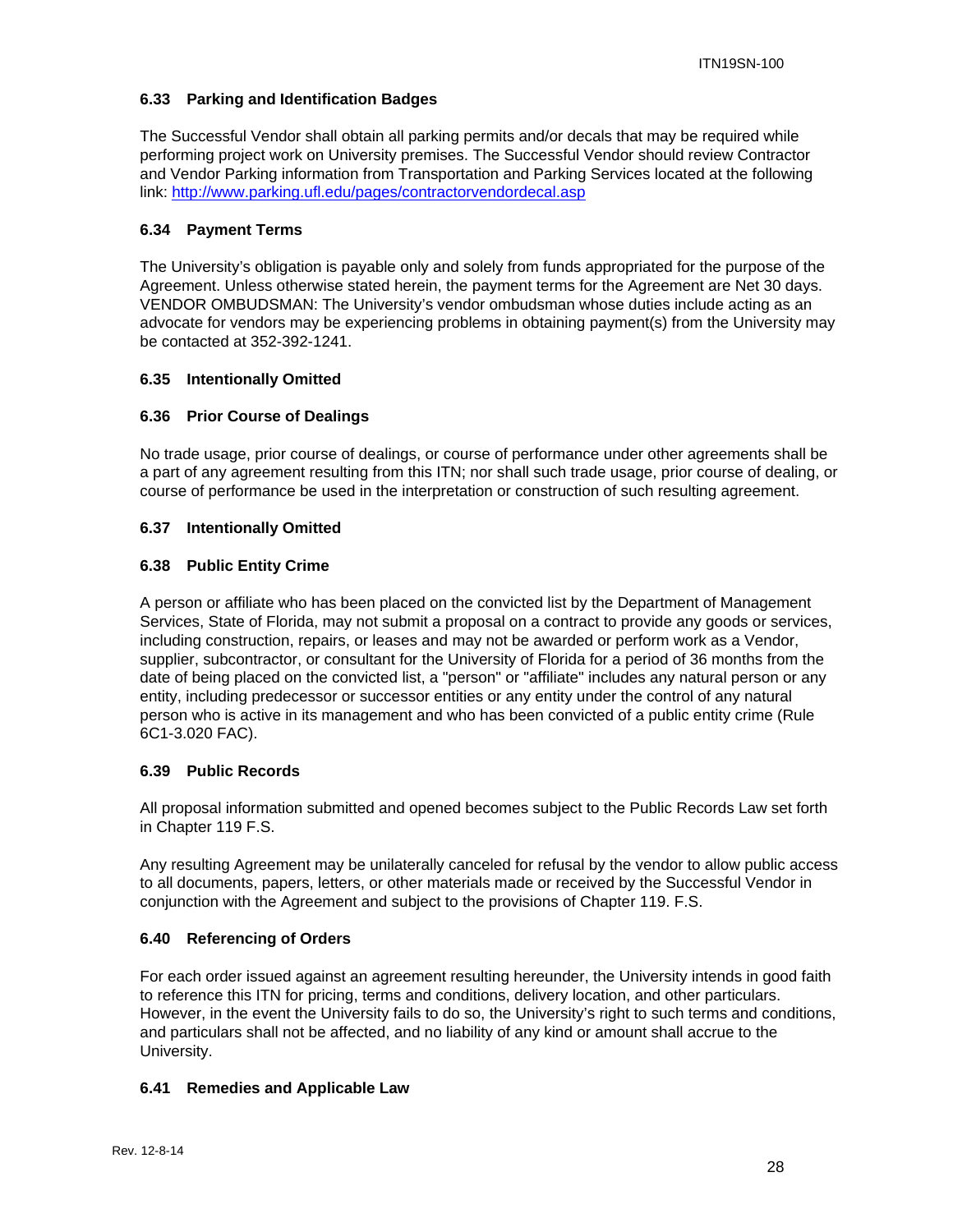#### **6.33 Parking and Identification Badges**

The Successful Vendor shall obtain all parking permits and/or decals that may be required while performing project work on University premises. The Successful Vendor should review Contractor and Vendor Parking information from Transportation and Parking Services located at the following link: http://www.parking.ufl.edu/pages/contractorvendordecal.asp

#### **6.34 Payment Terms**

The University's obligation is payable only and solely from funds appropriated for the purpose of the Agreement. Unless otherwise stated herein, the payment terms for the Agreement are Net 30 days. VENDOR OMBUDSMAN: The University's vendor ombudsman whose duties include acting as an advocate for vendors may be experiencing problems in obtaining payment(s) from the University may be contacted at 352-392-1241.

#### **6.35 Intentionally Omitted**

#### **6.36 Prior Course of Dealings**

No trade usage, prior course of dealings, or course of performance under other agreements shall be a part of any agreement resulting from this ITN; nor shall such trade usage, prior course of dealing, or course of performance be used in the interpretation or construction of such resulting agreement.

#### **6.37 Intentionally Omitted**

#### **6.38 Public Entity Crime**

A person or affiliate who has been placed on the convicted list by the Department of Management Services, State of Florida, may not submit a proposal on a contract to provide any goods or services, including construction, repairs, or leases and may not be awarded or perform work as a Vendor, supplier, subcontractor, or consultant for the University of Florida for a period of 36 months from the date of being placed on the convicted list, a "person" or "affiliate" includes any natural person or any entity, including predecessor or successor entities or any entity under the control of any natural person who is active in its management and who has been convicted of a public entity crime (Rule 6C1-3.020 FAC).

#### **6.39 Public Records**

All proposal information submitted and opened becomes subject to the Public Records Law set forth in Chapter 119 F.S.

Any resulting Agreement may be unilaterally canceled for refusal by the vendor to allow public access to all documents, papers, letters, or other materials made or received by the Successful Vendor in conjunction with the Agreement and subject to the provisions of Chapter 119. F.S.

#### **6.40 Referencing of Orders**

For each order issued against an agreement resulting hereunder, the University intends in good faith to reference this ITN for pricing, terms and conditions, delivery location, and other particulars. However, in the event the University fails to do so, the University's right to such terms and conditions, and particulars shall not be affected, and no liability of any kind or amount shall accrue to the University.

#### **6.41 Remedies and Applicable Law**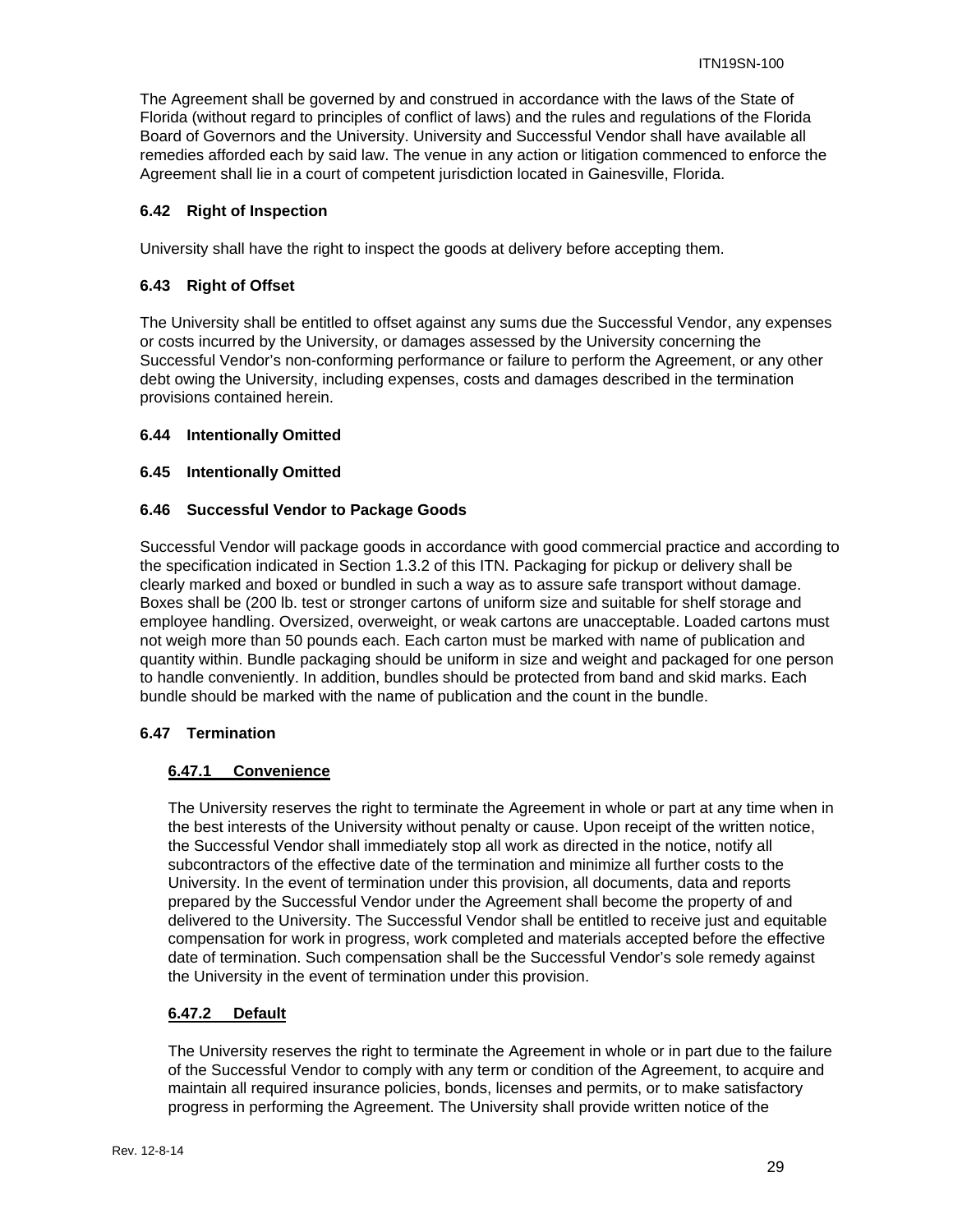The Agreement shall be governed by and construed in accordance with the laws of the State of Florida (without regard to principles of conflict of laws) and the rules and regulations of the Florida Board of Governors and the University. University and Successful Vendor shall have available all remedies afforded each by said law. The venue in any action or litigation commenced to enforce the Agreement shall lie in a court of competent jurisdiction located in Gainesville, Florida.

#### **6.42 Right of Inspection**

University shall have the right to inspect the goods at delivery before accepting them.

#### **6.43 Right of Offset**

The University shall be entitled to offset against any sums due the Successful Vendor, any expenses or costs incurred by the University, or damages assessed by the University concerning the Successful Vendor's non-conforming performance or failure to perform the Agreement, or any other debt owing the University, including expenses, costs and damages described in the termination provisions contained herein.

#### **6.44 Intentionally Omitted**

#### **6.45 Intentionally Omitted**

#### **6.46 Successful Vendor to Package Goods**

Successful Vendor will package goods in accordance with good commercial practice and according to the specification indicated in Section 1.3.2 of this ITN. Packaging for pickup or delivery shall be clearly marked and boxed or bundled in such a way as to assure safe transport without damage. Boxes shall be (200 lb. test or stronger cartons of uniform size and suitable for shelf storage and employee handling. Oversized, overweight, or weak cartons are unacceptable. Loaded cartons must not weigh more than 50 pounds each. Each carton must be marked with name of publication and quantity within. Bundle packaging should be uniform in size and weight and packaged for one person to handle conveniently. In addition, bundles should be protected from band and skid marks. Each bundle should be marked with the name of publication and the count in the bundle.

#### **6.47 Termination**

#### **6.47.1 Convenience**

The University reserves the right to terminate the Agreement in whole or part at any time when in the best interests of the University without penalty or cause. Upon receipt of the written notice, the Successful Vendor shall immediately stop all work as directed in the notice, notify all subcontractors of the effective date of the termination and minimize all further costs to the University. In the event of termination under this provision, all documents, data and reports prepared by the Successful Vendor under the Agreement shall become the property of and delivered to the University. The Successful Vendor shall be entitled to receive just and equitable compensation for work in progress, work completed and materials accepted before the effective date of termination. Such compensation shall be the Successful Vendor's sole remedy against the University in the event of termination under this provision.

#### **6.47.2 Default**

The University reserves the right to terminate the Agreement in whole or in part due to the failure of the Successful Vendor to comply with any term or condition of the Agreement, to acquire and maintain all required insurance policies, bonds, licenses and permits, or to make satisfactory progress in performing the Agreement. The University shall provide written notice of the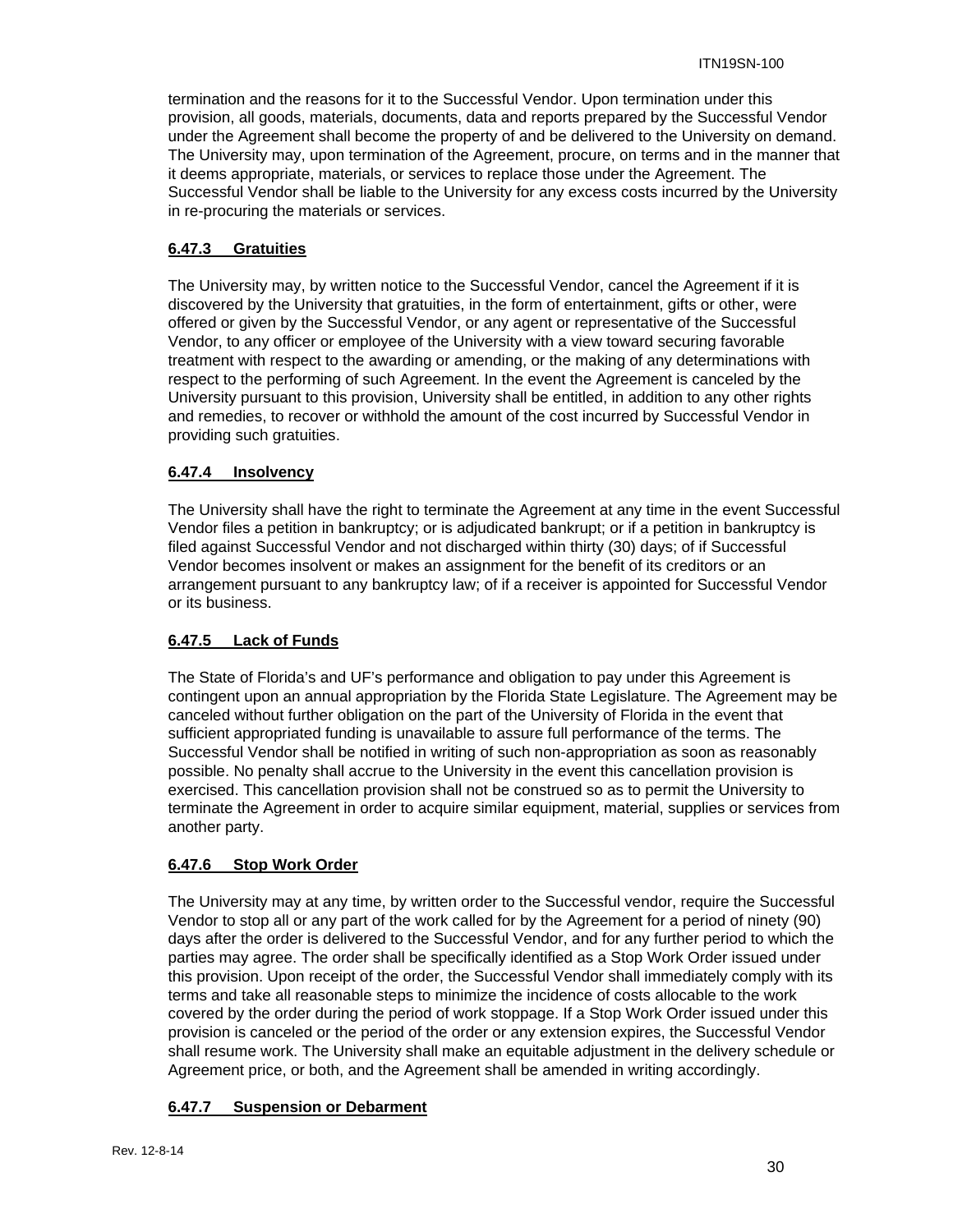termination and the reasons for it to the Successful Vendor. Upon termination under this provision, all goods, materials, documents, data and reports prepared by the Successful Vendor under the Agreement shall become the property of and be delivered to the University on demand. The University may, upon termination of the Agreement, procure, on terms and in the manner that it deems appropriate, materials, or services to replace those under the Agreement. The Successful Vendor shall be liable to the University for any excess costs incurred by the University in re-procuring the materials or services.

#### **6.47.3 Gratuities**

The University may, by written notice to the Successful Vendor, cancel the Agreement if it is discovered by the University that gratuities, in the form of entertainment, gifts or other, were offered or given by the Successful Vendor, or any agent or representative of the Successful Vendor, to any officer or employee of the University with a view toward securing favorable treatment with respect to the awarding or amending, or the making of any determinations with respect to the performing of such Agreement. In the event the Agreement is canceled by the University pursuant to this provision, University shall be entitled, in addition to any other rights and remedies, to recover or withhold the amount of the cost incurred by Successful Vendor in providing such gratuities.

#### **6.47.4 Insolvency**

The University shall have the right to terminate the Agreement at any time in the event Successful Vendor files a petition in bankruptcy; or is adjudicated bankrupt; or if a petition in bankruptcy is filed against Successful Vendor and not discharged within thirty (30) days; of if Successful Vendor becomes insolvent or makes an assignment for the benefit of its creditors or an arrangement pursuant to any bankruptcy law; of if a receiver is appointed for Successful Vendor or its business.

#### **6.47.5 Lack of Funds**

The State of Florida's and UF's performance and obligation to pay under this Agreement is contingent upon an annual appropriation by the Florida State Legislature. The Agreement may be canceled without further obligation on the part of the University of Florida in the event that sufficient appropriated funding is unavailable to assure full performance of the terms. The Successful Vendor shall be notified in writing of such non-appropriation as soon as reasonably possible. No penalty shall accrue to the University in the event this cancellation provision is exercised. This cancellation provision shall not be construed so as to permit the University to terminate the Agreement in order to acquire similar equipment, material, supplies or services from another party.

#### **6.47.6 Stop Work Order**

The University may at any time, by written order to the Successful vendor, require the Successful Vendor to stop all or any part of the work called for by the Agreement for a period of ninety (90) days after the order is delivered to the Successful Vendor, and for any further period to which the parties may agree. The order shall be specifically identified as a Stop Work Order issued under this provision. Upon receipt of the order, the Successful Vendor shall immediately comply with its terms and take all reasonable steps to minimize the incidence of costs allocable to the work covered by the order during the period of work stoppage. If a Stop Work Order issued under this provision is canceled or the period of the order or any extension expires, the Successful Vendor shall resume work. The University shall make an equitable adjustment in the delivery schedule or Agreement price, or both, and the Agreement shall be amended in writing accordingly.

#### **6.47.7 Suspension or Debarment**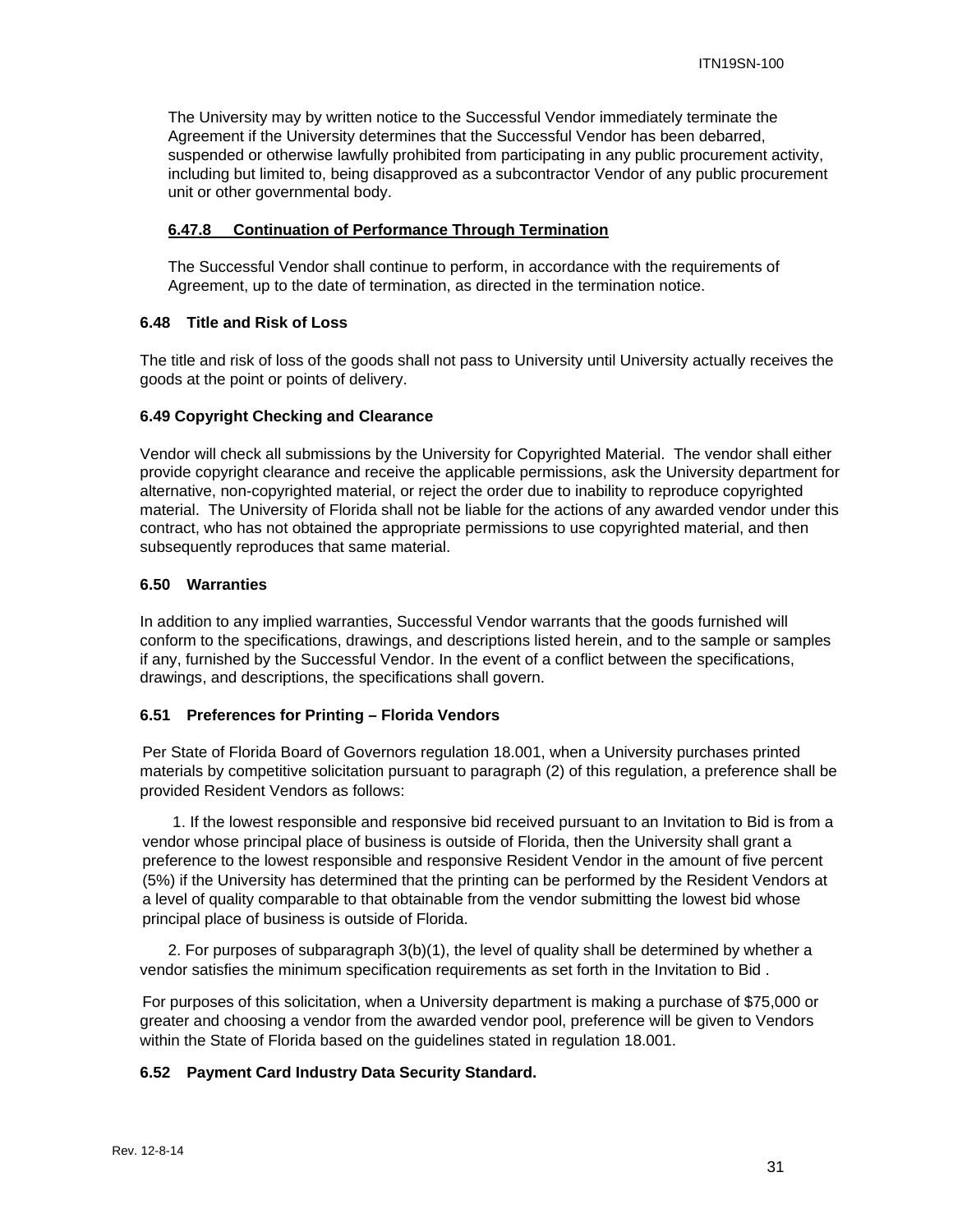The University may by written notice to the Successful Vendor immediately terminate the Agreement if the University determines that the Successful Vendor has been debarred, suspended or otherwise lawfully prohibited from participating in any public procurement activity, including but limited to, being disapproved as a subcontractor Vendor of any public procurement unit or other governmental body.

#### **6.47.8 Continuation of Performance Through Termination**

The Successful Vendor shall continue to perform, in accordance with the requirements of Agreement, up to the date of termination, as directed in the termination notice.

#### **6.48 Title and Risk of Loss**

The title and risk of loss of the goods shall not pass to University until University actually receives the goods at the point or points of delivery.

#### **6.49 Copyright Checking and Clearance**

Vendor will check all submissions by the University for Copyrighted Material. The vendor shall either provide copyright clearance and receive the applicable permissions, ask the University department for alternative, non-copyrighted material, or reject the order due to inability to reproduce copyrighted material. The University of Florida shall not be liable for the actions of any awarded vendor under this contract, who has not obtained the appropriate permissions to use copyrighted material, and then subsequently reproduces that same material.

#### **6.50 Warranties**

In addition to any implied warranties, Successful Vendor warrants that the goods furnished will conform to the specifications, drawings, and descriptions listed herein, and to the sample or samples if any, furnished by the Successful Vendor. In the event of a conflict between the specifications, drawings, and descriptions, the specifications shall govern.

#### **6.51 Preferences for Printing – Florida Vendors**

Per State of Florida Board of Governors regulation 18.001, when a University purchases printed materials by competitive solicitation pursuant to paragraph (2) of this regulation, a preference shall be provided Resident Vendors as follows:

1. If the lowest responsible and responsive bid received pursuant to an Invitation to Bid is from a vendor whose principal place of business is outside of Florida, then the University shall grant a preference to the lowest responsible and responsive Resident Vendor in the amount of five percent (5%) if the University has determined that the printing can be performed by the Resident Vendors at a level of quality comparable to that obtainable from the vendor submitting the lowest bid whose principal place of business is outside of Florida.

2. For purposes of subparagraph 3(b)(1), the level of quality shall be determined by whether a vendor satisfies the minimum specification requirements as set forth in the Invitation to Bid .

For purposes of this solicitation, when a University department is making a purchase of \$75,000 or greater and choosing a vendor from the awarded vendor pool, preference will be given to Vendors within the State of Florida based on the guidelines stated in regulation 18.001.

#### **6.52 Payment Card Industry Data Security Standard.**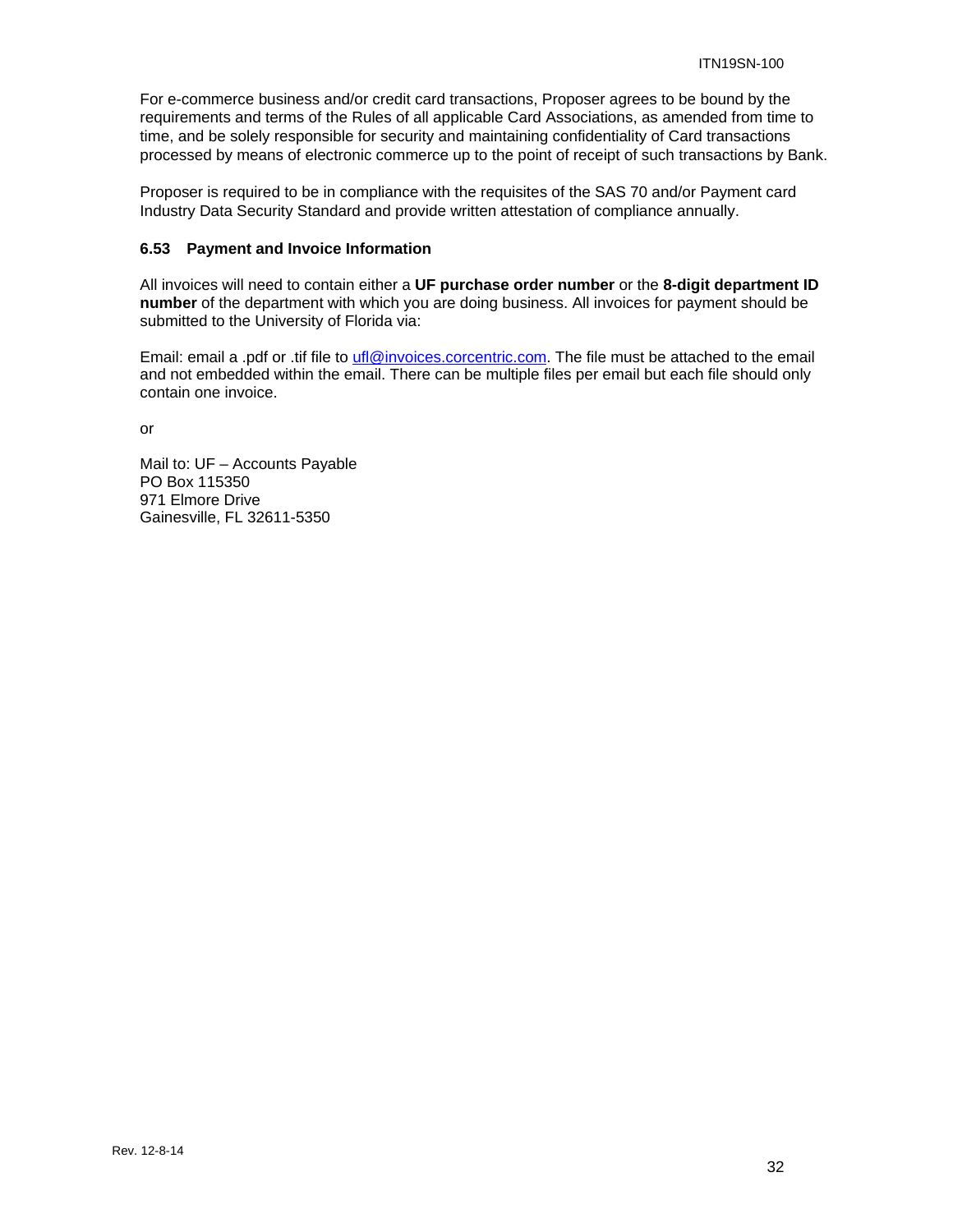For e-commerce business and/or credit card transactions, Proposer agrees to be bound by the requirements and terms of the Rules of all applicable Card Associations, as amended from time to time, and be solely responsible for security and maintaining confidentiality of Card transactions processed by means of electronic commerce up to the point of receipt of such transactions by Bank.

Proposer is required to be in compliance with the requisites of the SAS 70 and/or Payment card Industry Data Security Standard and provide written attestation of compliance annually.

#### **6.53 Payment and Invoice Information**

All invoices will need to contain either a **UF purchase order number** or the **8-digit department ID number** of the department with which you are doing business. All invoices for payment should be submitted to the University of Florida via:

Email: email a .pdf or .tif file to ufl@invoices.corcentric.com. The file must be attached to the email and not embedded within the email. There can be multiple files per email but each file should only contain one invoice.

or

Mail to: UF – Accounts Payable PO Box 115350 971 Elmore Drive Gainesville, FL 32611-5350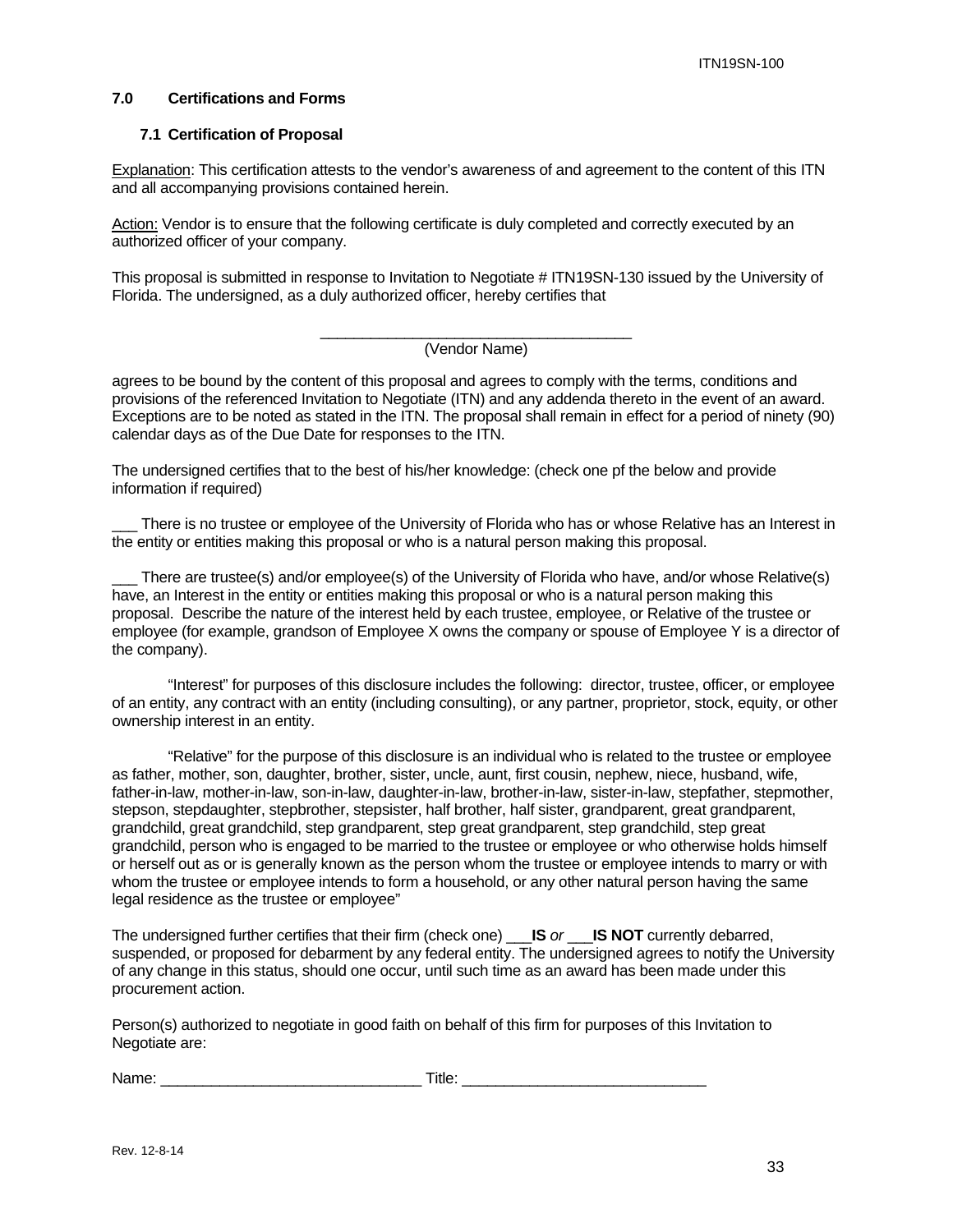#### **7.0 Certifications and Forms**

#### **7.1 Certification of Proposal**

Explanation: This certification attests to the vendor's awareness of and agreement to the content of this ITN and all accompanying provisions contained herein.

Action: Vendor is to ensure that the following certificate is duly completed and correctly executed by an authorized officer of your company.

This proposal is submitted in response to Invitation to Negotiate # ITN19SN-130 issued by the University of Florida. The undersigned, as a duly authorized officer, hereby certifies that

#### \_\_\_\_\_\_\_\_\_\_\_\_\_\_\_\_\_\_\_\_\_\_\_\_\_\_\_\_\_\_\_\_\_\_\_\_\_ (Vendor Name)

agrees to be bound by the content of this proposal and agrees to comply with the terms, conditions and provisions of the referenced Invitation to Negotiate (ITN) and any addenda thereto in the event of an award. Exceptions are to be noted as stated in the ITN. The proposal shall remain in effect for a period of ninety (90) calendar days as of the Due Date for responses to the ITN.

The undersigned certifies that to the best of his/her knowledge: (check one pf the below and provide information if required)

There is no trustee or employee of the University of Florida who has or whose Relative has an Interest in the entity or entities making this proposal or who is a natural person making this proposal.

There are trustee(s) and/or employee(s) of the University of Florida who have, and/or whose Relative(s) have, an Interest in the entity or entities making this proposal or who is a natural person making this proposal. Describe the nature of the interest held by each trustee, employee, or Relative of the trustee or employee (for example, grandson of Employee X owns the company or spouse of Employee Y is a director of the company).

"Interest" for purposes of this disclosure includes the following: director, trustee, officer, or employee of an entity, any contract with an entity (including consulting), or any partner, proprietor, stock, equity, or other ownership interest in an entity.

"Relative" for the purpose of this disclosure is an individual who is related to the trustee or employee as father, mother, son, daughter, brother, sister, uncle, aunt, first cousin, nephew, niece, husband, wife, father-in-law, mother-in-law, son-in-law, daughter-in-law, brother-in-law, sister-in-law, stepfather, stepmother, stepson, stepdaughter, stepbrother, stepsister, half brother, half sister, grandparent, great grandparent, grandchild, great grandchild, step grandparent, step great grandparent, step grandchild, step great grandchild, person who is engaged to be married to the trustee or employee or who otherwise holds himself or herself out as or is generally known as the person whom the trustee or employee intends to marry or with whom the trustee or employee intends to form a household, or any other natural person having the same legal residence as the trustee or employee"

The undersigned further certifies that their firm (check one) \_\_\_**IS** *or* \_\_\_**IS NOT** currently debarred, suspended, or proposed for debarment by any federal entity. The undersigned agrees to notify the University of any change in this status, should one occur, until such time as an award has been made under this procurement action.

Person(s) authorized to negotiate in good faith on behalf of this firm for purposes of this Invitation to Negotiate are:

| Name: | Title. |  |
|-------|--------|--|
|       |        |  |